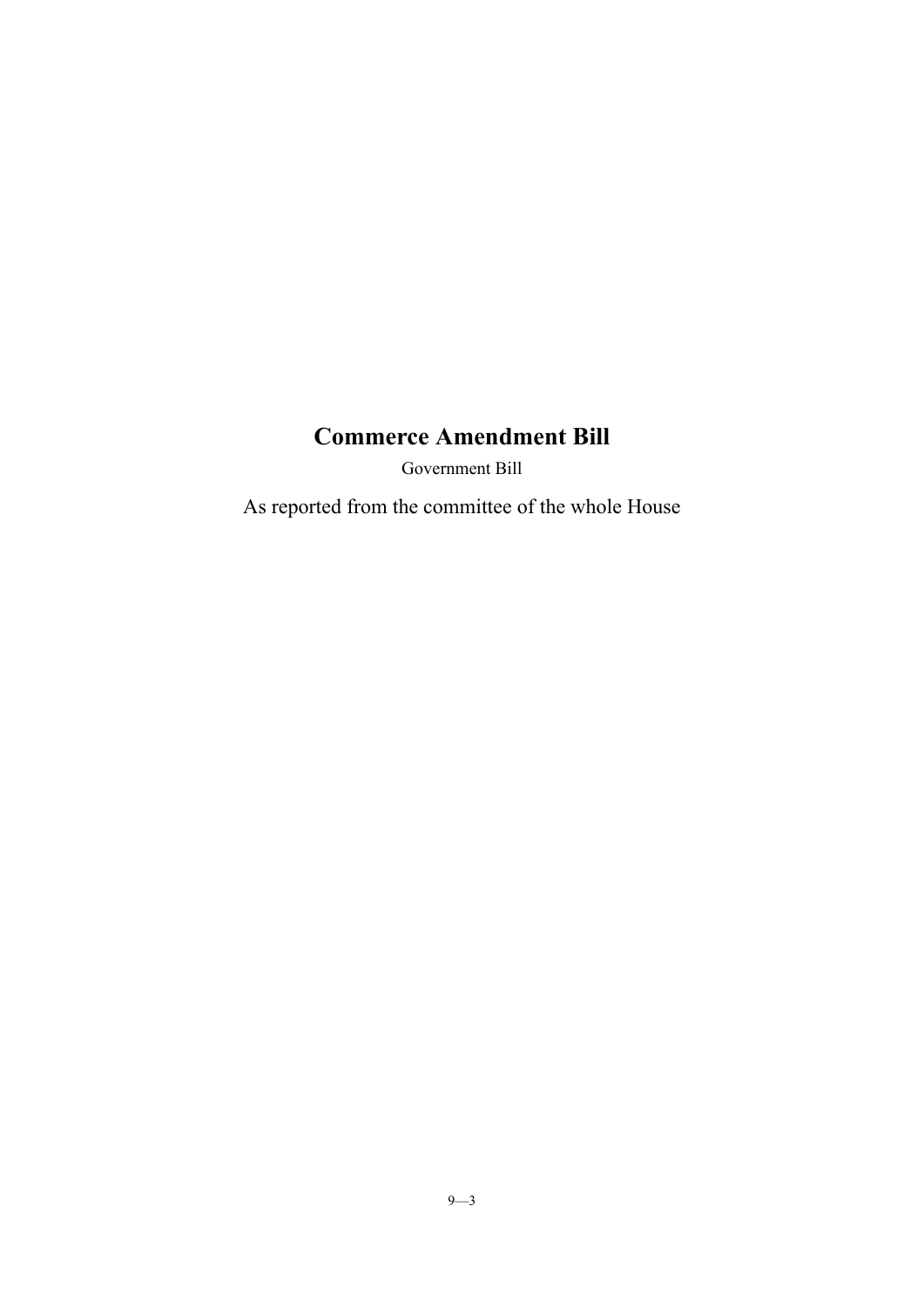# **Commerce Amendment Bill**

Government Bill

As reported from the committee of the whole House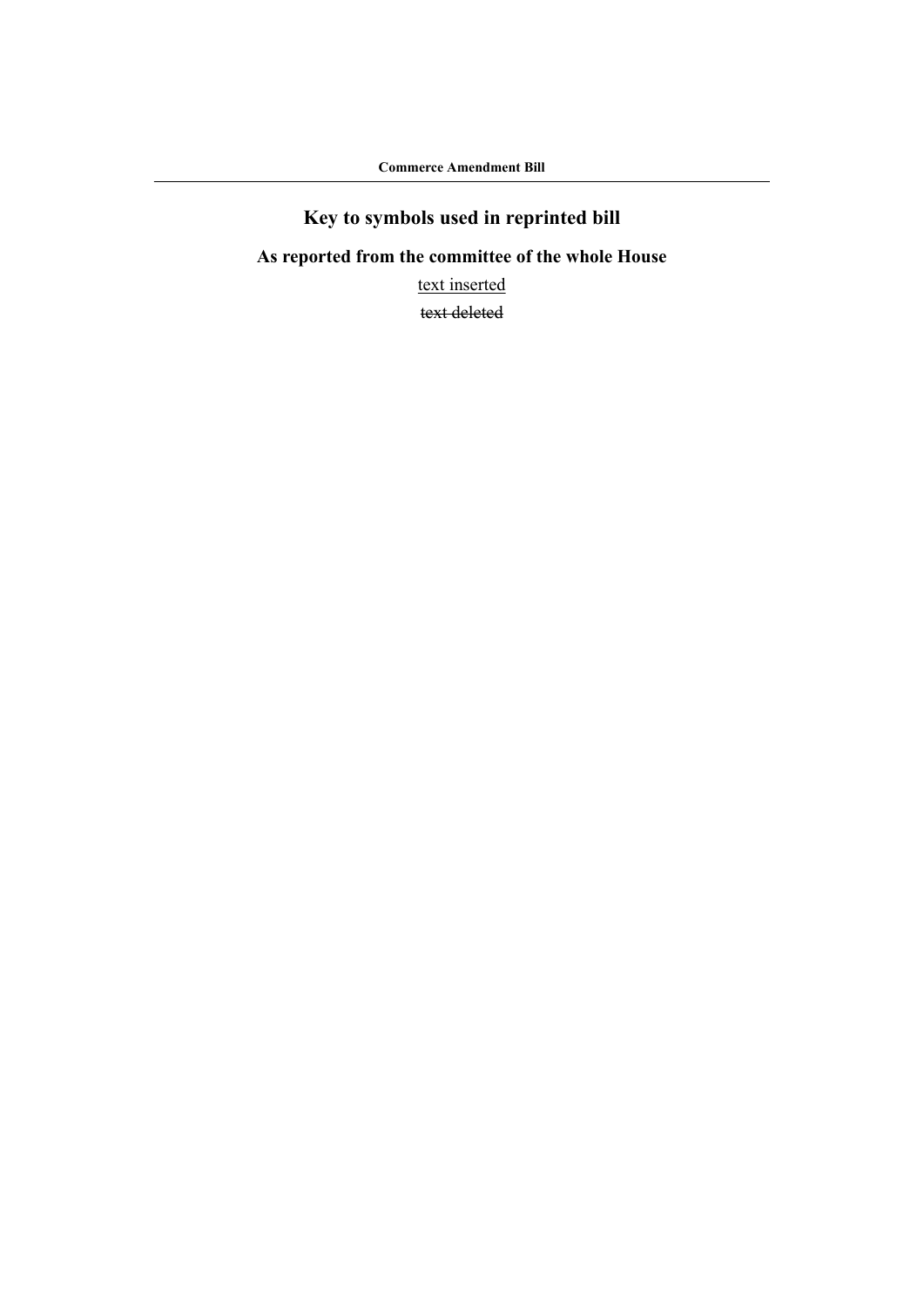# **Key to symbols used in reprinted bill**

## **As reported from the committee of the whole House**

text inserted

text deleted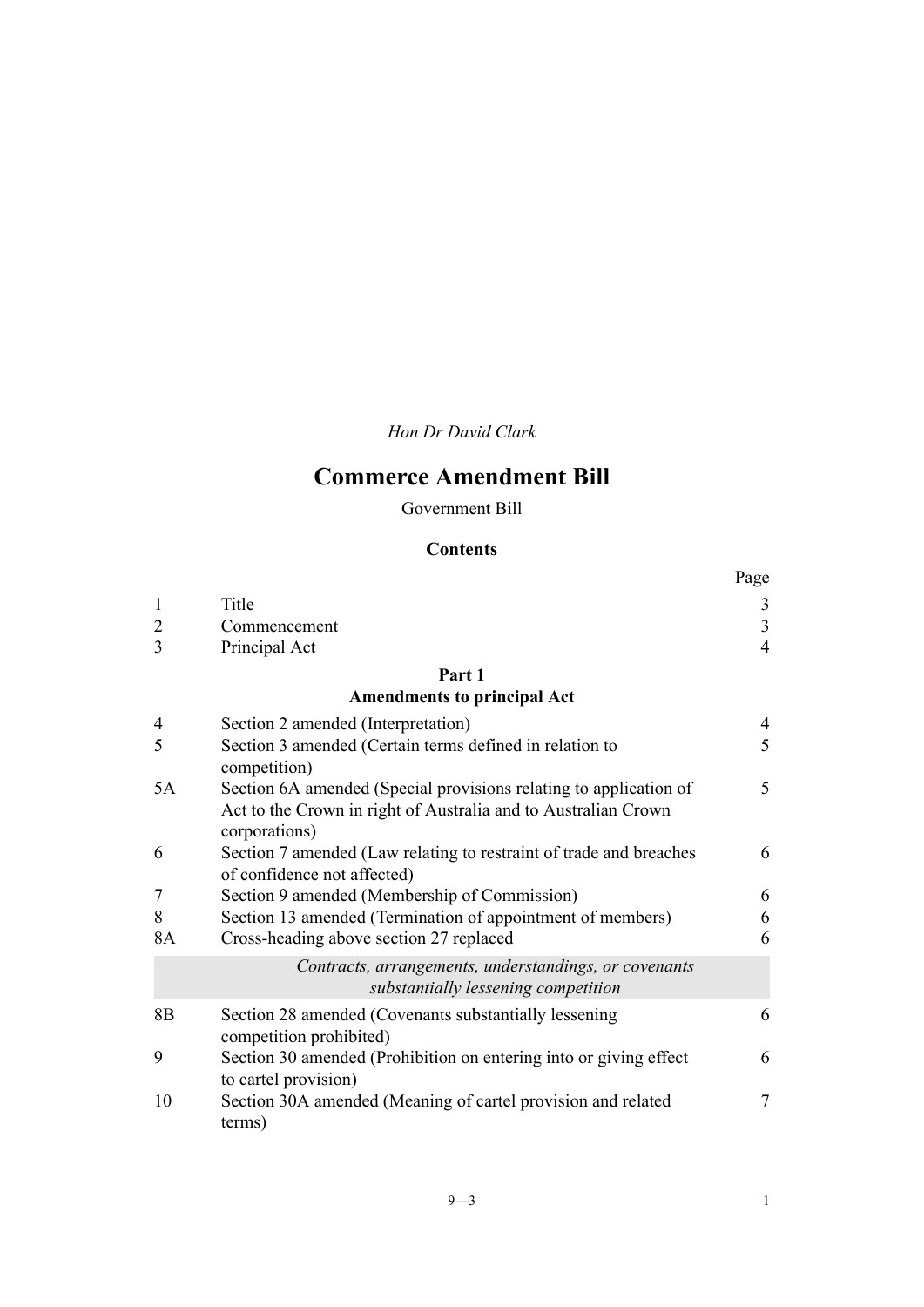*Hon Dr David Clark*

# **Commerce Amendment Bill**

Government Bill

#### **Contents**

|                |                                                                                                                                                      | Page           |
|----------------|------------------------------------------------------------------------------------------------------------------------------------------------------|----------------|
| 1              | Title                                                                                                                                                | 3              |
| 2              | Commencement                                                                                                                                         | 3              |
| 3              | Principal Act                                                                                                                                        | $\overline{4}$ |
|                | Part 1                                                                                                                                               |                |
|                | <b>Amendments to principal Act</b>                                                                                                                   |                |
| 4              | Section 2 amended (Interpretation)                                                                                                                   | $\overline{4}$ |
| 5              | Section 3 amended (Certain terms defined in relation to<br>competition)                                                                              | 5              |
| 5A             | Section 6A amended (Special provisions relating to application of<br>Act to the Crown in right of Australia and to Australian Crown<br>corporations) | 5              |
| 6              | Section 7 amended (Law relating to restraint of trade and breaches<br>of confidence not affected)                                                    | 6              |
| 7              | Section 9 amended (Membership of Commission)                                                                                                         | 6              |
| 8              | Section 13 amended (Termination of appointment of members)                                                                                           | 6              |
| 8A             | Cross-heading above section 27 replaced                                                                                                              | 6              |
|                | Contracts, arrangements, understandings, or covenants<br>substantially lessening competition                                                         |                |
| 8 <sub>B</sub> | Section 28 amended (Covenants substantially lessening<br>competition prohibited)                                                                     | 6              |
| 9              | Section 30 amended (Prohibition on entering into or giving effect<br>to cartel provision)                                                            | 6              |
| 10             | Section 30A amended (Meaning of cartel provision and related<br>terms)                                                                               | 7              |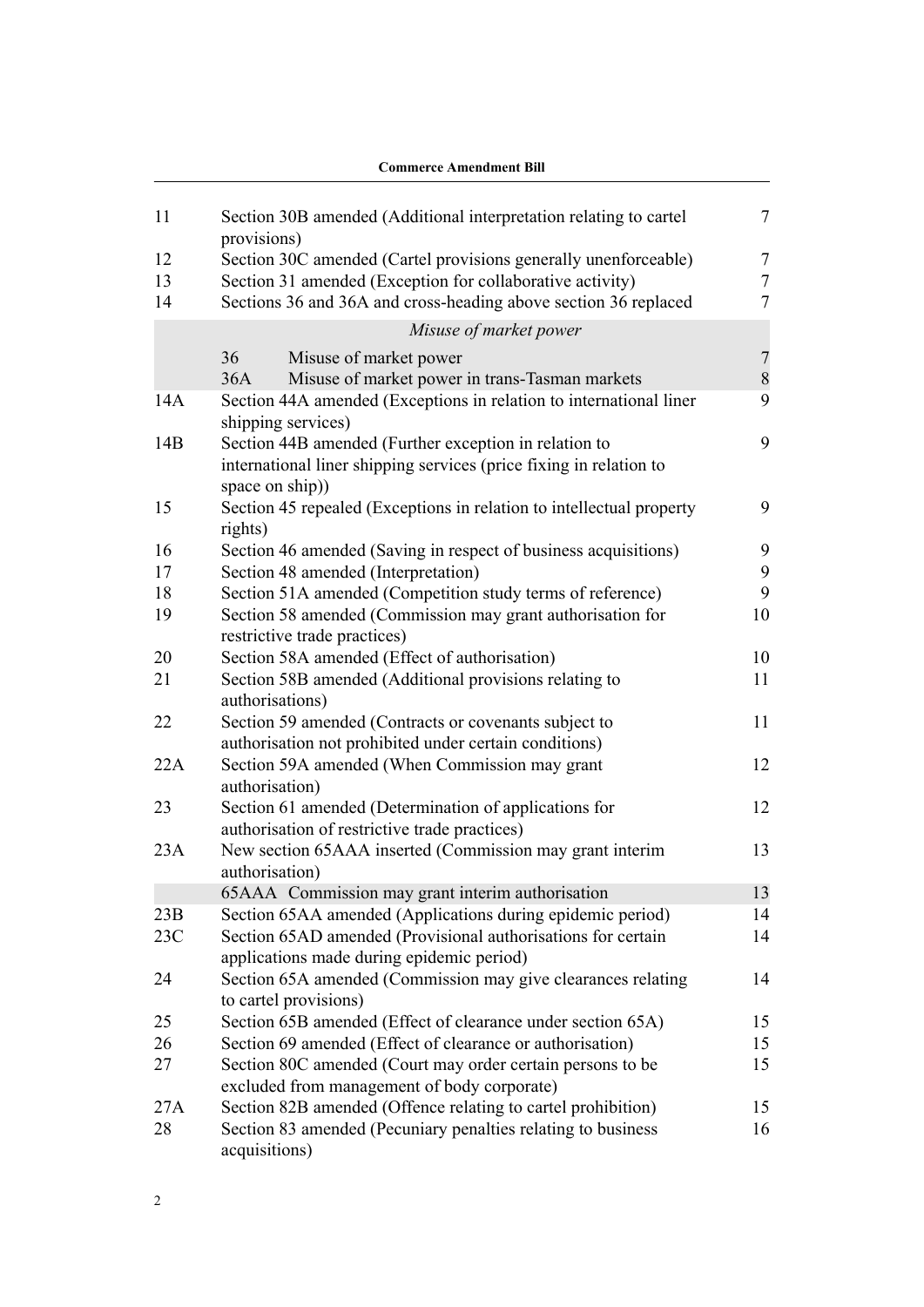|     | <b>Commerce Amendment Bill</b>                                                                            |                |
|-----|-----------------------------------------------------------------------------------------------------------|----------------|
| 11  | Section 30B amended (Additional interpretation relating to cartel<br>provisions)                          | 7              |
| 12  | Section 30C amended (Cartel provisions generally unenforceable)                                           | $\overline{7}$ |
| 13  | Section 31 amended (Exception for collaborative activity)                                                 | $\overline{7}$ |
| 14  | Sections 36 and 36A and cross-heading above section 36 replaced                                           | 7              |
|     | Misuse of market power                                                                                    |                |
|     | 36<br>Misuse of market power                                                                              | $\overline{7}$ |
|     | Misuse of market power in trans-Tasman markets<br>36A                                                     | 8              |
| 14A | Section 44A amended (Exceptions in relation to international liner<br>shipping services)                  | 9              |
| 14B | Section 44B amended (Further exception in relation to                                                     | 9              |
|     | international liner shipping services (price fixing in relation to<br>space on ship))                     |                |
| 15  | Section 45 repealed (Exceptions in relation to intellectual property<br>rights)                           | 9              |
| 16  | Section 46 amended (Saving in respect of business acquisitions)                                           | 9              |
| 17  | Section 48 amended (Interpretation)                                                                       | 9              |
| 18  | Section 51A amended (Competition study terms of reference)                                                | 9              |
| 19  | Section 58 amended (Commission may grant authorisation for<br>restrictive trade practices)                | 10             |
| 20  | Section 58A amended (Effect of authorisation)                                                             | 10             |
| 21  | Section 58B amended (Additional provisions relating to<br>authorisations)                                 | 11             |
| 22  | Section 59 amended (Contracts or covenants subject to                                                     | 11             |
|     | authorisation not prohibited under certain conditions)                                                    |                |
| 22A | Section 59A amended (When Commission may grant<br>authorisation)                                          | 12             |
| 23  | Section 61 amended (Determination of applications for                                                     | 12             |
|     | authorisation of restrictive trade practices)                                                             |                |
| 23A | New section 65AAA inserted (Commission may grant interim<br>authorisation)                                | 13             |
|     | 65AAA Commission may grant interim authorisation                                                          | 13             |
| 23B | Section 65AA amended (Applications during epidemic period)                                                | 14             |
| 23C | Section 65AD amended (Provisional authorisations for certain<br>applications made during epidemic period) | 14             |
| 24  | Section 65A amended (Commission may give clearances relating<br>to cartel provisions)                     | 14             |
| 25  | Section 65B amended (Effect of clearance under section 65A)                                               | 15             |
| 26  | Section 69 amended (Effect of clearance or authorisation)                                                 | 15             |
| 27  | Section 80C amended (Court may order certain persons to be<br>excluded from management of body corporate) | 15             |
| 27A | Section 82B amended (Offence relating to cartel prohibition)                                              | 15             |
| 28  | Section 83 amended (Pecuniary penalties relating to business<br>acquisitions)                             | 16             |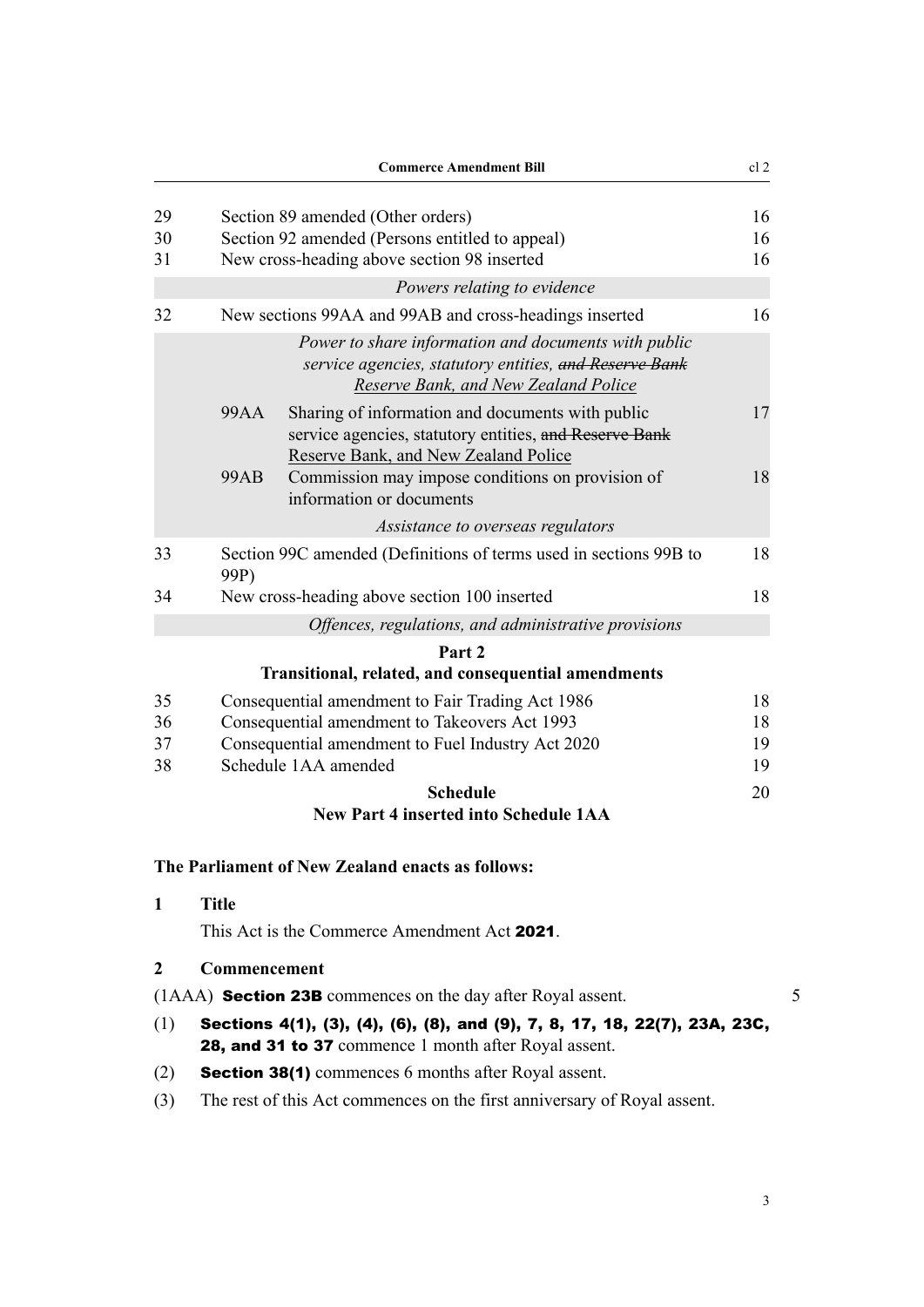<span id="page-6-0"></span>

|    | <b>Commerce Amendment Bill</b>                                                                                                                             | cl <sub>2</sub> |  |
|----|------------------------------------------------------------------------------------------------------------------------------------------------------------|-----------------|--|
| 29 | Section 89 amended (Other orders)                                                                                                                          | 16              |  |
| 30 | Section 92 amended (Persons entitled to appeal)                                                                                                            |                 |  |
| 31 | New cross-heading above section 98 inserted                                                                                                                | 16              |  |
|    | Powers relating to evidence                                                                                                                                |                 |  |
| 32 | New sections 99AA and 99AB and cross-headings inserted                                                                                                     | 16              |  |
|    | Power to share information and documents with public<br>service agencies, statutory entities, and Reserve Bank<br>Reserve Bank, and New Zealand Police     |                 |  |
|    | Sharing of information and documents with public<br>99AA<br>service agencies, statutory entities, and Reserve Bank<br>Reserve Bank, and New Zealand Police | 17              |  |
|    | <b>99AB</b><br>Commission may impose conditions on provision of<br>information or documents                                                                | 18              |  |
|    | Assistance to overseas regulators                                                                                                                          |                 |  |
| 33 | Section 99C amended (Definitions of terms used in sections 99B to<br>99P)                                                                                  | 18              |  |
| 34 | New cross-heading above section 100 inserted                                                                                                               | 18              |  |
|    | Offences, regulations, and administrative provisions                                                                                                       |                 |  |
|    | Part 2                                                                                                                                                     |                 |  |
|    | <b>Transitional, related, and consequential amendments</b>                                                                                                 |                 |  |
| 35 | Consequential amendment to Fair Trading Act 1986                                                                                                           | 18              |  |
| 36 | Consequential amendment to Takeovers Act 1993                                                                                                              | 18              |  |
| 37 | Consequential amendment to Fuel Industry Act 2020                                                                                                          | 19              |  |
| 38 | Schedule 1AA amended                                                                                                                                       | 19              |  |
|    | <b>Schedule</b>                                                                                                                                            | 20              |  |
|    | <b>New Part 4 inserted into Schedule 1AA</b>                                                                                                               |                 |  |
|    |                                                                                                                                                            |                 |  |

## **The Parliament of New Zealand enacts as follows:**

| $\mathbf 1$ | Title                                                                      |  |
|-------------|----------------------------------------------------------------------------|--|
|             | This Act is the Commerce Amendment Act 2021.                               |  |
| $2^{\circ}$ | <b>Commencement</b>                                                        |  |
|             | (1AAA) <b>Section 23B</b> commences on the day after Royal assent.         |  |
| (1)         | Sections 4(1), (3), (4), (6), (8), and (9), 7, 8, 17, 18, 22(7), 23A, 23C, |  |

- (1) Sections 4(1), (3), (4), (6), (8), and (9), 7, 8, 17, 18, 22(7), 23A, 23C, 28, and 31 to 37 commence 1 month after Royal assent.
- (2) Section 38(1) commences 6 months after Royal assent.
- (3) The rest of this Act commences on the first anniversary of Royal assent.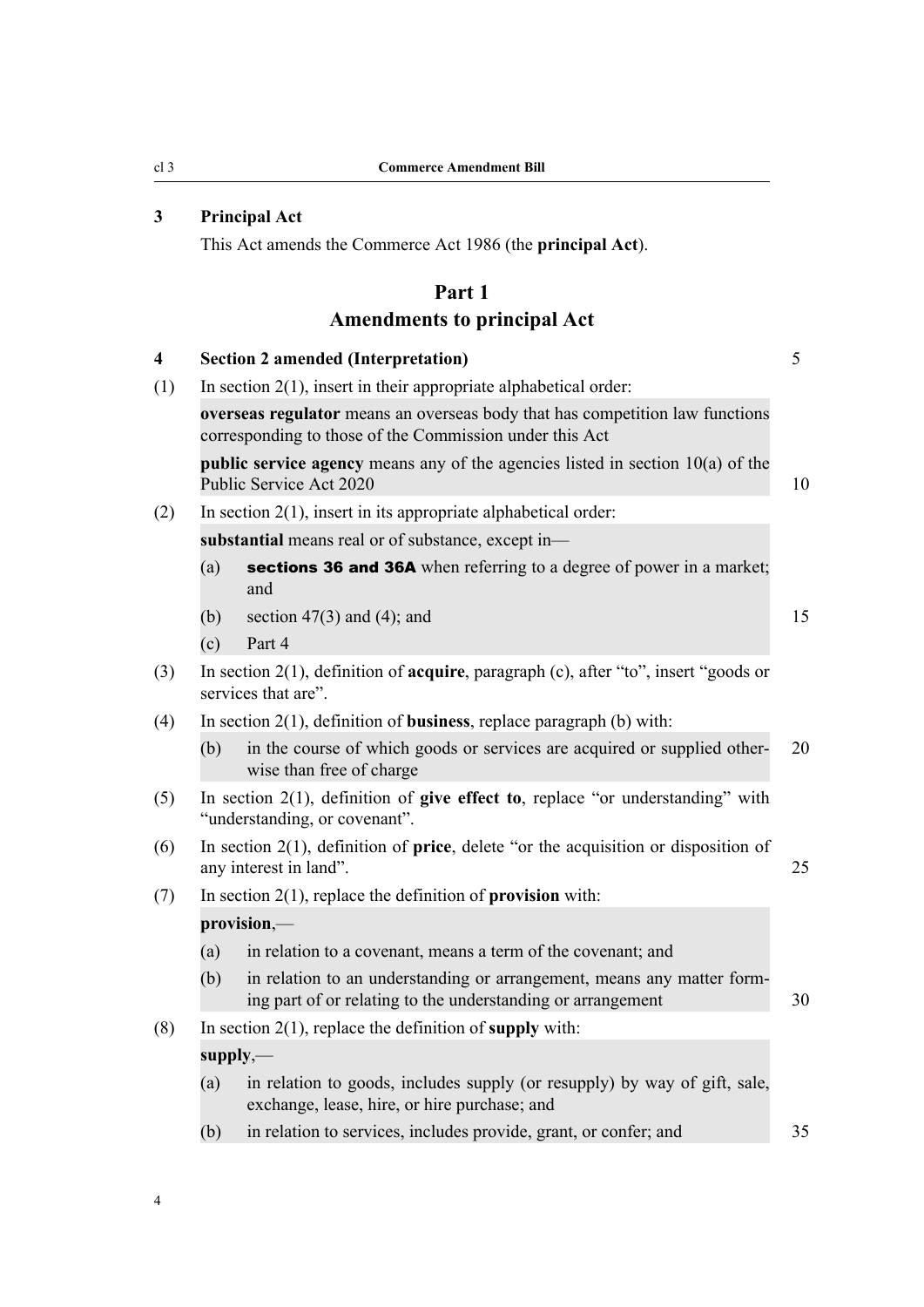## <span id="page-7-0"></span>**3 Principal Act**

This Act amends the Commerce Act 1986 (the **principal Act**).

## **Part 1 Amendments to principal Act**

| $\overline{\mathbf{4}}$ |     | <b>Section 2 amended (Interpretation)</b>                                                                                               | 5  |
|-------------------------|-----|-----------------------------------------------------------------------------------------------------------------------------------------|----|
| (1)                     |     | In section $2(1)$ , insert in their appropriate alphabetical order:                                                                     |    |
|                         |     | overseas regulator means an overseas body that has competition law functions<br>corresponding to those of the Commission under this Act |    |
|                         |     | <b>public service agency</b> means any of the agencies listed in section $10(a)$ of the<br>Public Service Act 2020                      | 10 |
| (2)                     |     | In section $2(1)$ , insert in its appropriate alphabetical order:                                                                       |    |
|                         |     | substantial means real or of substance, except in-                                                                                      |    |
|                         | (a) | sections 36 and 36A when referring to a degree of power in a market;<br>and                                                             |    |
|                         | (b) | section $47(3)$ and $(4)$ ; and                                                                                                         | 15 |
|                         | (c) | Part 4                                                                                                                                  |    |
| (3)                     |     | In section $2(1)$ , definition of <b>acquire</b> , paragraph (c), after "to", insert "goods or<br>services that are".                   |    |
| (4)                     |     | In section $2(1)$ , definition of <b>business</b> , replace paragraph (b) with:                                                         |    |
|                         | (b) | in the course of which goods or services are acquired or supplied other-<br>wise than free of charge                                    | 20 |
| (5)                     |     | In section $2(1)$ , definition of give effect to, replace "or understanding" with<br>"understanding, or covenant".                      |    |
| (6)                     |     | In section $2(1)$ , definition of <b>price</b> , delete "or the acquisition or disposition of<br>any interest in land".                 | 25 |
| (7)                     |     | In section $2(1)$ , replace the definition of <b>provision</b> with:                                                                    |    |
|                         |     | provision,-                                                                                                                             |    |
|                         | (a) | in relation to a covenant, means a term of the covenant; and                                                                            |    |
|                         | (b) | in relation to an understanding or arrangement, means any matter form-<br>ing part of or relating to the understanding or arrangement   | 30 |
| (8)                     |     | In section $2(1)$ , replace the definition of supply with:                                                                              |    |
|                         |     | $supply, -$                                                                                                                             |    |
|                         | (a) | in relation to goods, includes supply (or resupply) by way of gift, sale,<br>exchange, lease, hire, or hire purchase; and               |    |
|                         | (b) | in relation to services, includes provide, grant, or confer; and                                                                        | 35 |
|                         |     |                                                                                                                                         |    |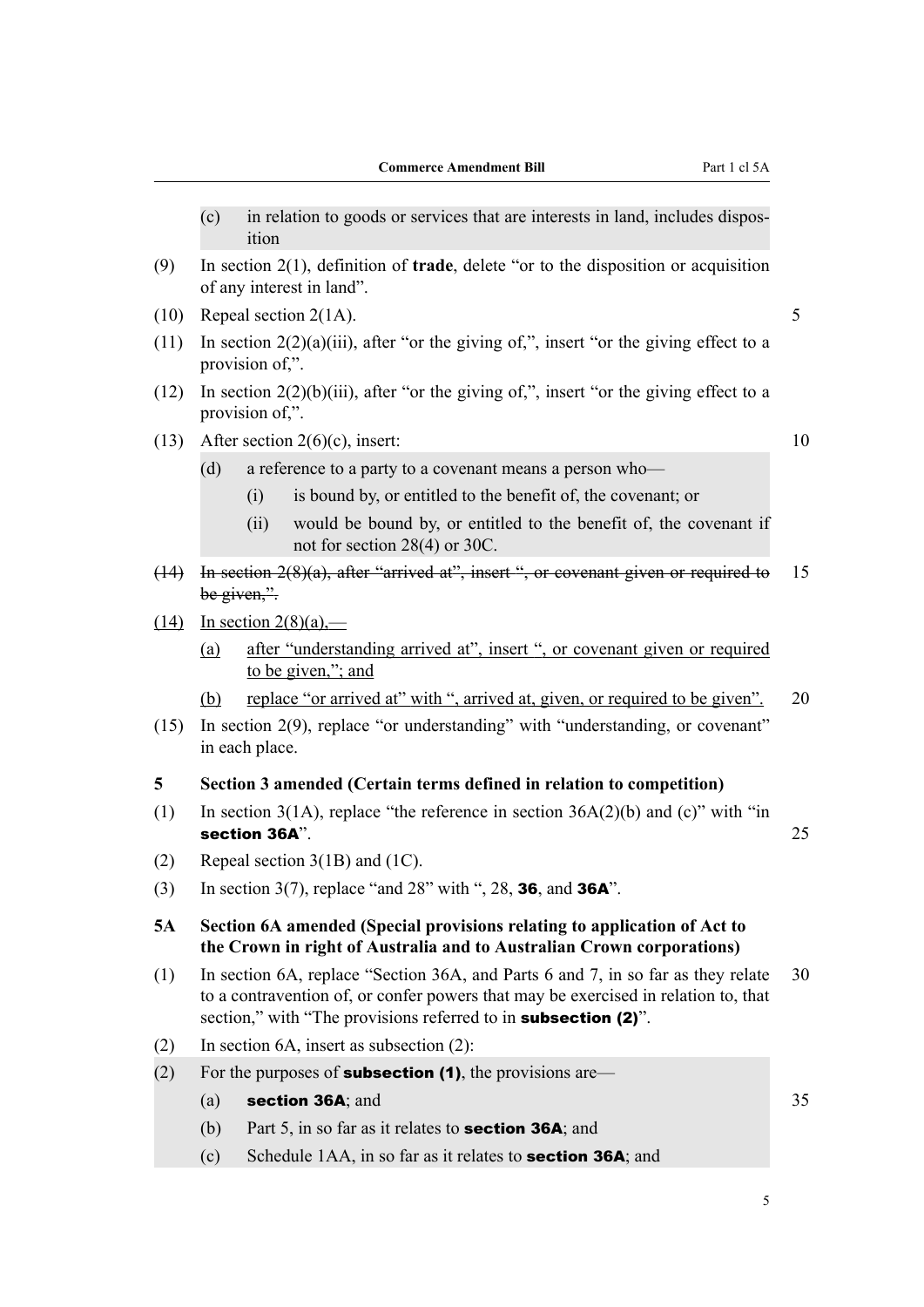- <span id="page-8-0"></span>(c) in relation to goods or services that are interests in land, includes dispos‐ ition
- (9) In section 2(1), definition of **trade**, delete "or to the disposition or acquisition of any interest in land".
- (10) Repeal section  $2(1A)$ . 5
- (11) In section  $2(2)(a)(iii)$ , after "or the giving of,", insert "or the giving effect to a provision of,".
- (12) In section 2(2)(b)(iii), after "or the giving of,", insert "or the giving effect to a provision of,".
- (13) After section  $2(6)(c)$ , insert: 10

- (d) a reference to a party to a covenant means a person who—
	- (i) is bound by, or entitled to the benefit of, the covenant; or
	- (ii) would be bound by, or entitled to the benefit of, the covenant if not for section 28(4) or 30C.
- (14) In section 2(8)(a), after "arrived at", insert ", or covenant given or required to 15 be given,".
- $(14)$  In section  $2(8)(a)$ ,—
	- (a) after "understanding arrived at", insert ", or covenant given or required to be given,"; and
	- (b) replace "or arrived at" with ", arrived at, given, or required to be given". 20
- (15) In section 2(9), replace "or understanding" with "understanding, or covenant" in each place.

#### **5 Section 3 amended (Certain terms defined in relation to competition)**

- (1) In section  $3(1A)$ , replace "the reference in section  $36A(2)(b)$  and (c)" with "in section 36A". 25
- (2) Repeal section 3(1B) and (1C).
- (3) In section 3(7), replace "and  $28$ " with ",  $28$ , **36**, and **36A**".

#### **5A Section 6A amended (Special provisions relating to application of Act to the Crown in right of Australia and to Australian Crown corporations)**

- (1) In section 6A, replace "Section 36A, and Parts 6 and 7, in so far as they relate 30 to a contravention of, or confer powers that may be exercised in relation to, that section," with "The provisions referred to in **subsection (2)**".
- (2) In section 6A, insert as subsection (2):
- (2) For the purposes of **subsection (1)**, the provisions are—
	- $(a)$  section 36A; and  $35$
	- (b) Part 5, in so far as it relates to **section 36A**; and
	- (c) Schedule 1AA, in so far as it relates to section 36A; and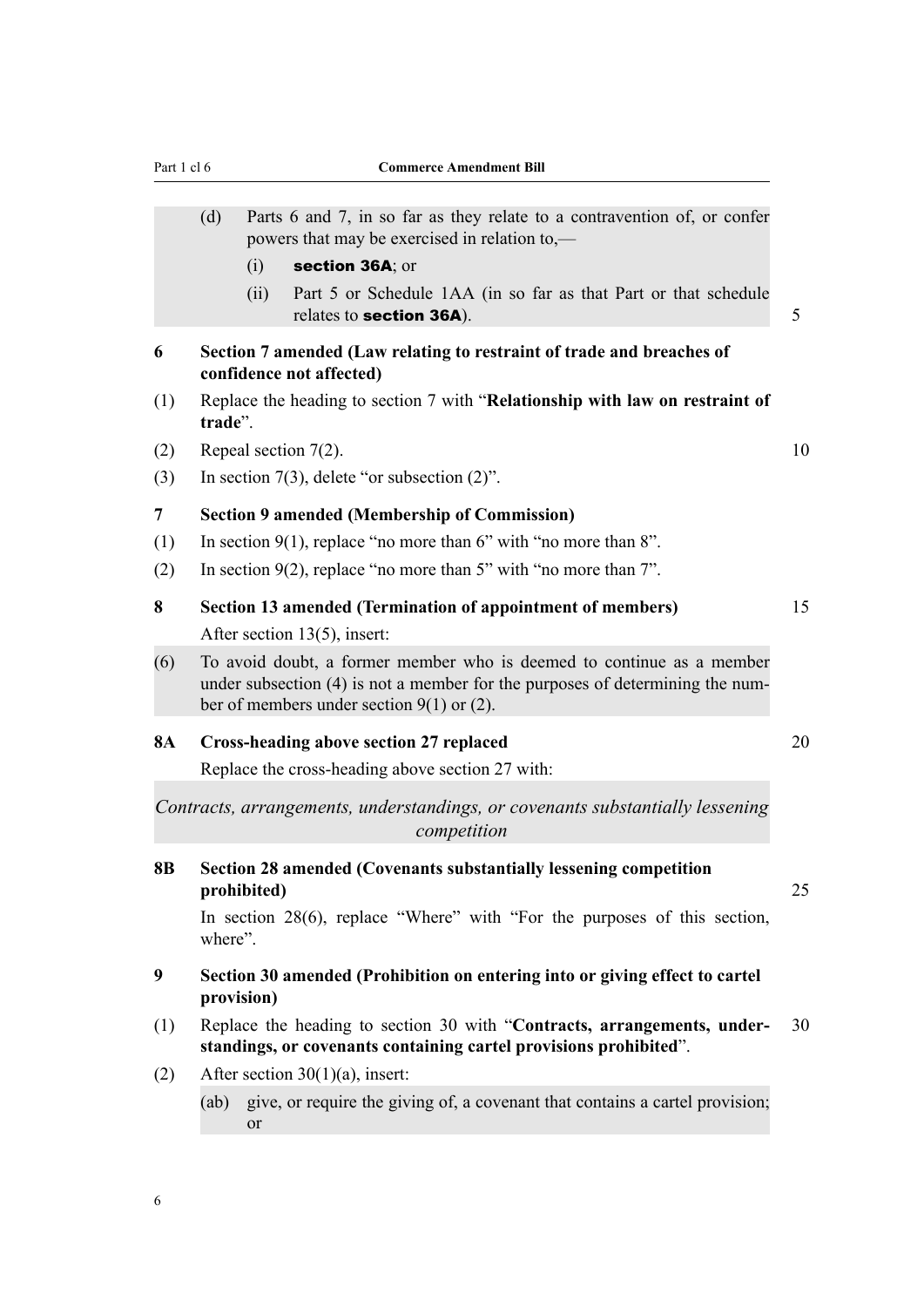<span id="page-9-0"></span>

|                | (d)        |             | Parts 6 and 7, in so far as they relate to a contravention of, or confer                                                                                                                              |
|----------------|------------|-------------|-------------------------------------------------------------------------------------------------------------------------------------------------------------------------------------------------------|
|                |            |             | powers that may be exercised in relation to,—                                                                                                                                                         |
|                |            | (i)         | section 36A; or                                                                                                                                                                                       |
|                |            | (ii)        | Part 5 or Schedule 1AA (in so far as that Part or that schedule<br>relates to section 36A).                                                                                                           |
| 6              |            |             | Section 7 amended (Law relating to restraint of trade and breaches of<br>confidence not affected)                                                                                                     |
| (1)            | trade".    |             | Replace the heading to section 7 with "Relationship with law on restraint of                                                                                                                          |
| (2)            |            |             | Repeal section 7(2).                                                                                                                                                                                  |
| (3)            |            |             | In section $7(3)$ , delete "or subsection $(2)$ ".                                                                                                                                                    |
| $\overline{7}$ |            |             | <b>Section 9 amended (Membership of Commission)</b>                                                                                                                                                   |
| (1)            |            |             | In section $9(1)$ , replace "no more than 6" with "no more than 8".                                                                                                                                   |
| (2)            |            |             | In section $9(2)$ , replace "no more than 5" with "no more than 7".                                                                                                                                   |
| 8              |            |             | Section 13 amended (Termination of appointment of members)                                                                                                                                            |
|                |            |             | After section 13(5), insert:                                                                                                                                                                          |
| (6)            |            |             | To avoid doubt, a former member who is deemed to continue as a member<br>under subsection (4) is not a member for the purposes of determining the num-<br>ber of members under section $9(1)$ or (2). |
| 8A             |            |             | <b>Cross-heading above section 27 replaced</b>                                                                                                                                                        |
|                |            |             | Replace the cross-heading above section 27 with:                                                                                                                                                      |
|                |            |             | Contracts, arrangements, understandings, or covenants substantially lessening<br>competition                                                                                                          |
| 8В             |            | prohibited) | <b>Section 28 amended (Covenants substantially lessening competition</b>                                                                                                                              |
|                | where".    |             | In section 28(6), replace "Where" with "For the purposes of this section,                                                                                                                             |
| 9              | provision) |             | Section 30 amended (Prohibition on entering into or giving effect to cartel                                                                                                                           |
| (1)            |            |             | Replace the heading to section 30 with "Contracts, arrangements, under-<br>standings, or covenants containing cartel provisions prohibited".                                                          |
| (2)            |            |             | After section $30(1)(a)$ , insert:                                                                                                                                                                    |
|                | (ab)       |             | give, or require the giving of, a covenant that contains a cartel provision;                                                                                                                          |

or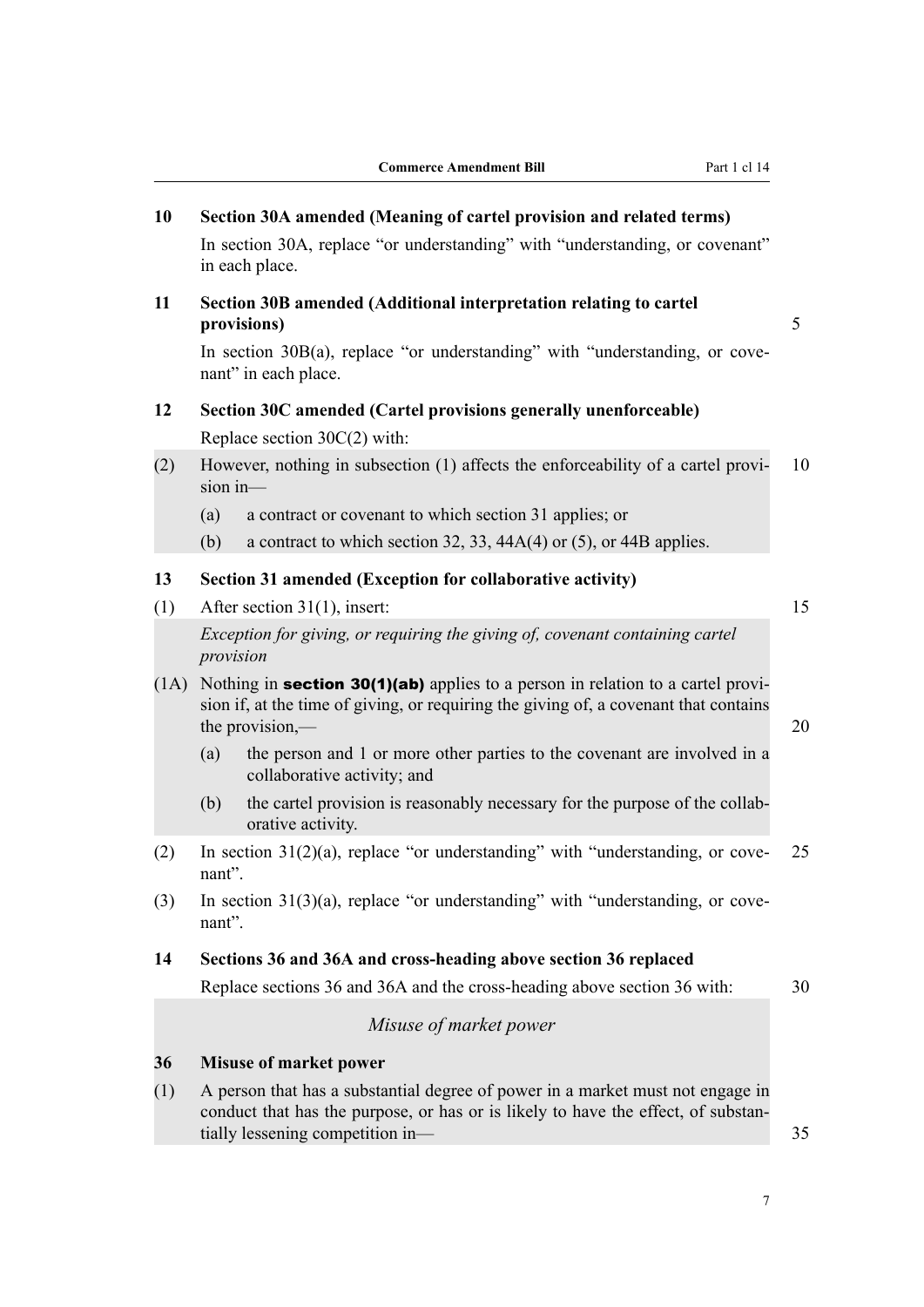<span id="page-10-0"></span>

|      | <b>Commerce Amendment Bill</b>                                                                                                                                                                          | Part 1 cl 14 |
|------|---------------------------------------------------------------------------------------------------------------------------------------------------------------------------------------------------------|--------------|
| 10   | Section 30A amended (Meaning of cartel provision and related terms)                                                                                                                                     |              |
|      | In section 30A, replace "or understanding" with "understanding, or covenant"<br>in each place.                                                                                                          |              |
| 11   | Section 30B amended (Additional interpretation relating to cartel<br>provisions)                                                                                                                        | 5            |
|      | In section 30B(a), replace "or understanding" with "understanding, or cove-<br>nant" in each place.                                                                                                     |              |
| 12   | Section 30C amended (Cartel provisions generally unenforceable)<br>Replace section $30C(2)$ with:                                                                                                       |              |
| (2)  | However, nothing in subsection (1) affects the enforceability of a cartel provi-<br>$sion in$ —                                                                                                         | 10           |
|      | (a)<br>a contract or covenant to which section 31 applies; or                                                                                                                                           |              |
|      | (b)<br>a contract to which section 32, 33, $44A(4)$ or (5), or 44B applies.                                                                                                                             |              |
| 13   | Section 31 amended (Exception for collaborative activity)                                                                                                                                               |              |
| (1)  | After section $31(1)$ , insert:                                                                                                                                                                         | 15           |
|      | Exception for giving, or requiring the giving of, covenant containing cartel<br>provision                                                                                                               |              |
| (1A) | Nothing in <b>section 30(1)(ab)</b> applies to a person in relation to a cartel provi-<br>sion if, at the time of giving, or requiring the giving of, a covenant that contains<br>the provision,—       | 20           |
|      | the person and 1 or more other parties to the covenant are involved in a<br>(a)<br>collaborative activity; and                                                                                          |              |
|      | the cartel provision is reasonably necessary for the purpose of the collab-<br>(b)<br>orative activity.                                                                                                 |              |
| (2)  | In section $31(2)(a)$ , replace "or understanding" with "understanding, or cove-<br>nant".                                                                                                              | 25           |
| (3)  | In section $31(3)(a)$ , replace "or understanding" with "understanding, or cove-<br>nant".                                                                                                              |              |
| 14   | Sections 36 and 36A and cross-heading above section 36 replaced                                                                                                                                         |              |
|      | Replace sections 36 and 36A and the cross-heading above section 36 with:                                                                                                                                | 30           |
|      | Misuse of market power                                                                                                                                                                                  |              |
| 36   | <b>Misuse of market power</b>                                                                                                                                                                           |              |
| (1)  | A person that has a substantial degree of power in a market must not engage in<br>conduct that has the purpose, or has or is likely to have the effect, of substan-<br>tially lessening competition in- | 35           |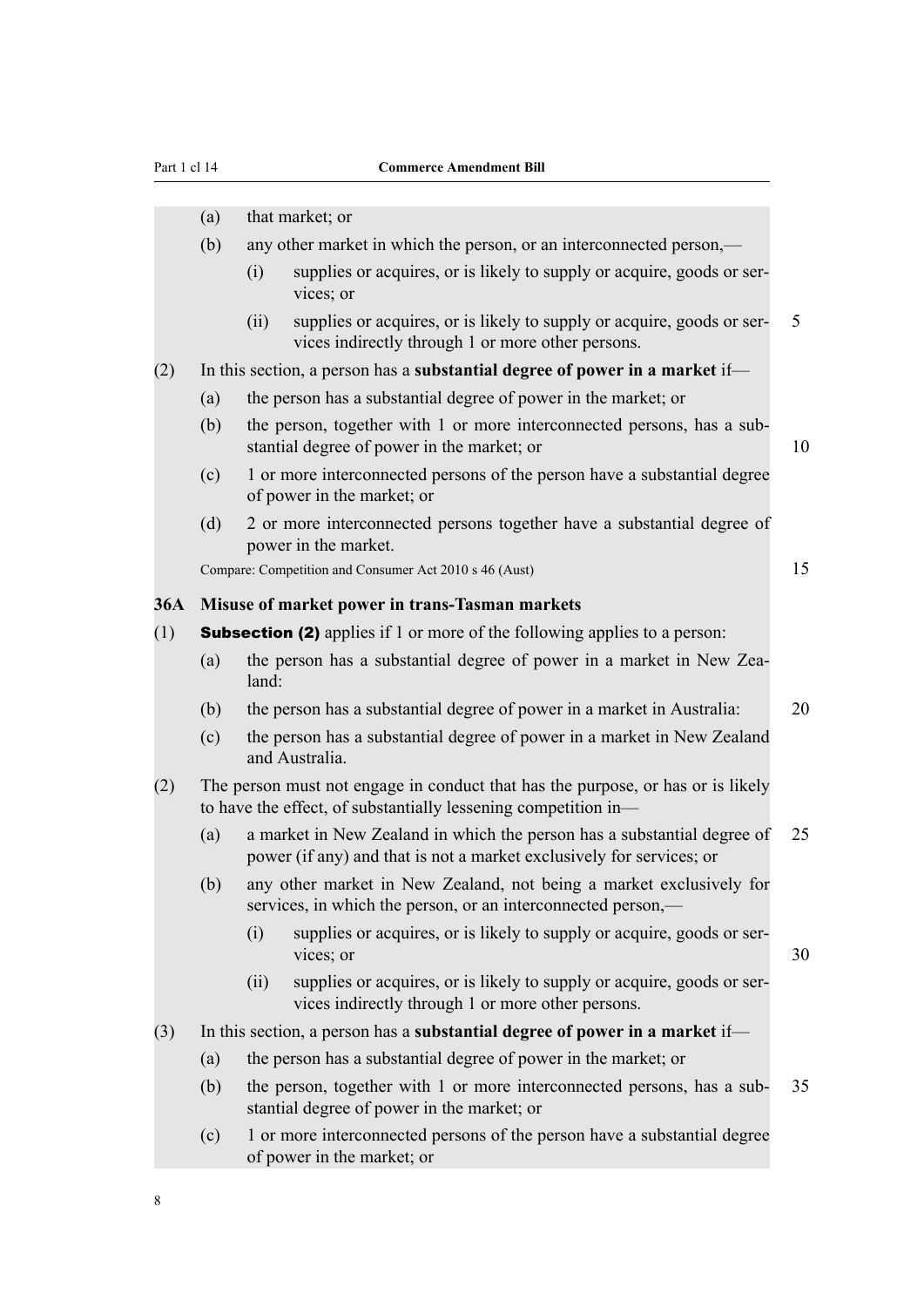<span id="page-11-0"></span>

|     | (a)                                                                              |       | that market; or                                                                                                                                   |    |  |  |
|-----|----------------------------------------------------------------------------------|-------|---------------------------------------------------------------------------------------------------------------------------------------------------|----|--|--|
|     | (b)                                                                              |       | any other market in which the person, or an interconnected person,—                                                                               |    |  |  |
|     |                                                                                  | (i)   | supplies or acquires, or is likely to supply or acquire, goods or ser-<br>vices; or                                                               |    |  |  |
|     |                                                                                  | (ii)  | supplies or acquires, or is likely to supply or acquire, goods or ser-<br>vices indirectly through 1 or more other persons.                       | 5  |  |  |
| (2) |                                                                                  |       | In this section, a person has a substantial degree of power in a market if-                                                                       |    |  |  |
|     | (a)                                                                              |       | the person has a substantial degree of power in the market; or                                                                                    |    |  |  |
|     | (b)                                                                              |       | the person, together with 1 or more interconnected persons, has a sub-<br>stantial degree of power in the market; or                              | 10 |  |  |
|     | (c)                                                                              |       | 1 or more interconnected persons of the person have a substantial degree<br>of power in the market; or                                            |    |  |  |
|     | (d)                                                                              |       | 2 or more interconnected persons together have a substantial degree of<br>power in the market.                                                    |    |  |  |
|     |                                                                                  |       | Compare: Competition and Consumer Act 2010 s 46 (Aust)                                                                                            | 15 |  |  |
| 36A |                                                                                  |       | Misuse of market power in trans-Tasman markets                                                                                                    |    |  |  |
| (1) | <b>Subsection (2)</b> applies if 1 or more of the following applies to a person: |       |                                                                                                                                                   |    |  |  |
|     | (a)                                                                              | land: | the person has a substantial degree of power in a market in New Zea-                                                                              |    |  |  |
|     | (b)                                                                              |       | the person has a substantial degree of power in a market in Australia:                                                                            | 20 |  |  |
|     | (c)                                                                              |       | the person has a substantial degree of power in a market in New Zealand<br>and Australia.                                                         |    |  |  |
| (2) |                                                                                  |       | The person must not engage in conduct that has the purpose, or has or is likely<br>to have the effect, of substantially lessening competition in- |    |  |  |
|     | (a)                                                                              |       | a market in New Zealand in which the person has a substantial degree of<br>power (if any) and that is not a market exclusively for services; or   | 25 |  |  |
|     | (b)                                                                              |       | any other market in New Zealand, not being a market exclusively for<br>services, in which the person, or an interconnected person,—               |    |  |  |
|     |                                                                                  | (i)   | supplies or acquires, or is likely to supply or acquire, goods or ser-<br>vices; or                                                               | 30 |  |  |
|     |                                                                                  | (ii)  | supplies or acquires, or is likely to supply or acquire, goods or ser-<br>vices indirectly through 1 or more other persons.                       |    |  |  |
| (3) |                                                                                  |       | In this section, a person has a substantial degree of power in a market if-                                                                       |    |  |  |
|     | (a)                                                                              |       | the person has a substantial degree of power in the market; or                                                                                    |    |  |  |
|     | (b)                                                                              |       | the person, together with 1 or more interconnected persons, has a sub-<br>stantial degree of power in the market; or                              | 35 |  |  |
|     | (c)                                                                              |       | 1 or more interconnected persons of the person have a substantial degree<br>of power in the market; or                                            |    |  |  |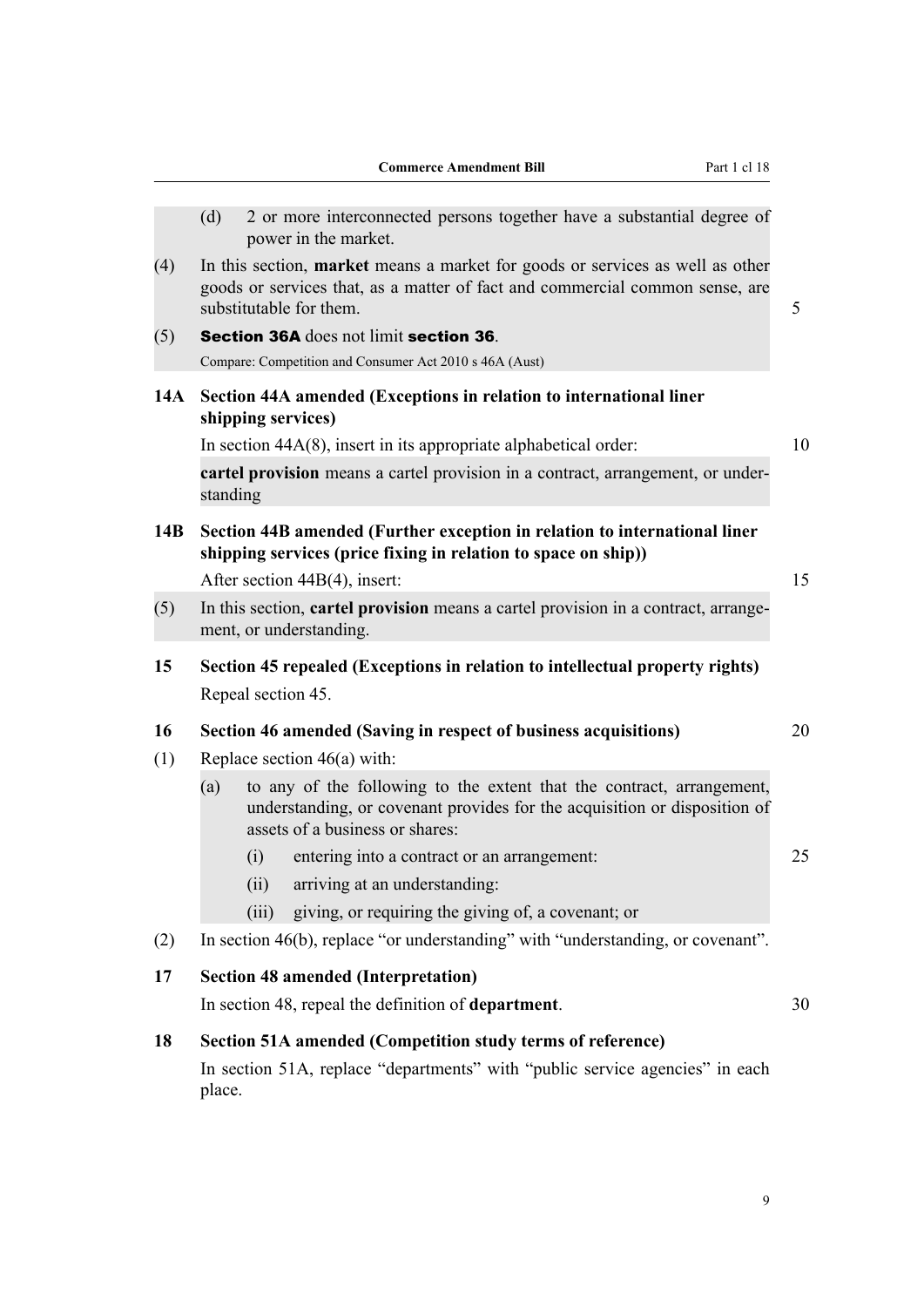<span id="page-12-0"></span>

|     |          | <b>Commerce Amendment Bill</b><br>Part 1 cl 18                                                                                                                                           |
|-----|----------|------------------------------------------------------------------------------------------------------------------------------------------------------------------------------------------|
|     |          |                                                                                                                                                                                          |
|     | (d)      | 2 or more interconnected persons together have a substantial degree of<br>power in the market.                                                                                           |
| (4) |          | In this section, market means a market for goods or services as well as other<br>goods or services that, as a matter of fact and commercial common sense, are<br>substitutable for them. |
| (5) |          | Section 36A does not limit section 36.                                                                                                                                                   |
|     |          | Compare: Competition and Consumer Act 2010 s 46A (Aust)                                                                                                                                  |
| 14A |          | Section 44A amended (Exceptions in relation to international liner<br>shipping services)                                                                                                 |
|     |          | In section $44A(8)$ , insert in its appropriate alphabetical order:                                                                                                                      |
|     | standing | cartel provision means a cartel provision in a contract, arrangement, or under-                                                                                                          |
| 14B |          | Section 44B amended (Further exception in relation to international liner<br>shipping services (price fixing in relation to space on ship))<br>After section 44B(4), insert:             |
| (5) |          | In this section, cartel provision means a cartel provision in a contract, arrange-<br>ment, or understanding.                                                                            |
| 15  |          | Section 45 repealed (Exceptions in relation to intellectual property rights)                                                                                                             |
|     |          | Repeal section 45.                                                                                                                                                                       |
| 16  |          | Section 46 amended (Saving in respect of business acquisitions)                                                                                                                          |
| (1) |          | Replace section $46(a)$ with:                                                                                                                                                            |
|     | (a)      | to any of the following to the extent that the contract, arrangement,<br>understanding, or covenant provides for the acquisition or disposition of<br>assets of a business or shares:    |
|     |          | (i) entering into a contract or an arrangement:                                                                                                                                          |
|     |          | arriving at an understanding:<br>(ii)                                                                                                                                                    |
|     |          | (iii)<br>giving, or requiring the giving of, a covenant; or                                                                                                                              |
| (2) |          | In section 46(b), replace "or understanding" with "understanding, or covenant".                                                                                                          |
| 17  |          | <b>Section 48 amended (Interpretation)</b>                                                                                                                                               |
|     |          | In section 48, repeal the definition of department.                                                                                                                                      |
| 18  |          | <b>Section 51A amended (Competition study terms of reference)</b>                                                                                                                        |
|     | place.   | In section 51A, replace "departments" with "public service agencies" in each                                                                                                             |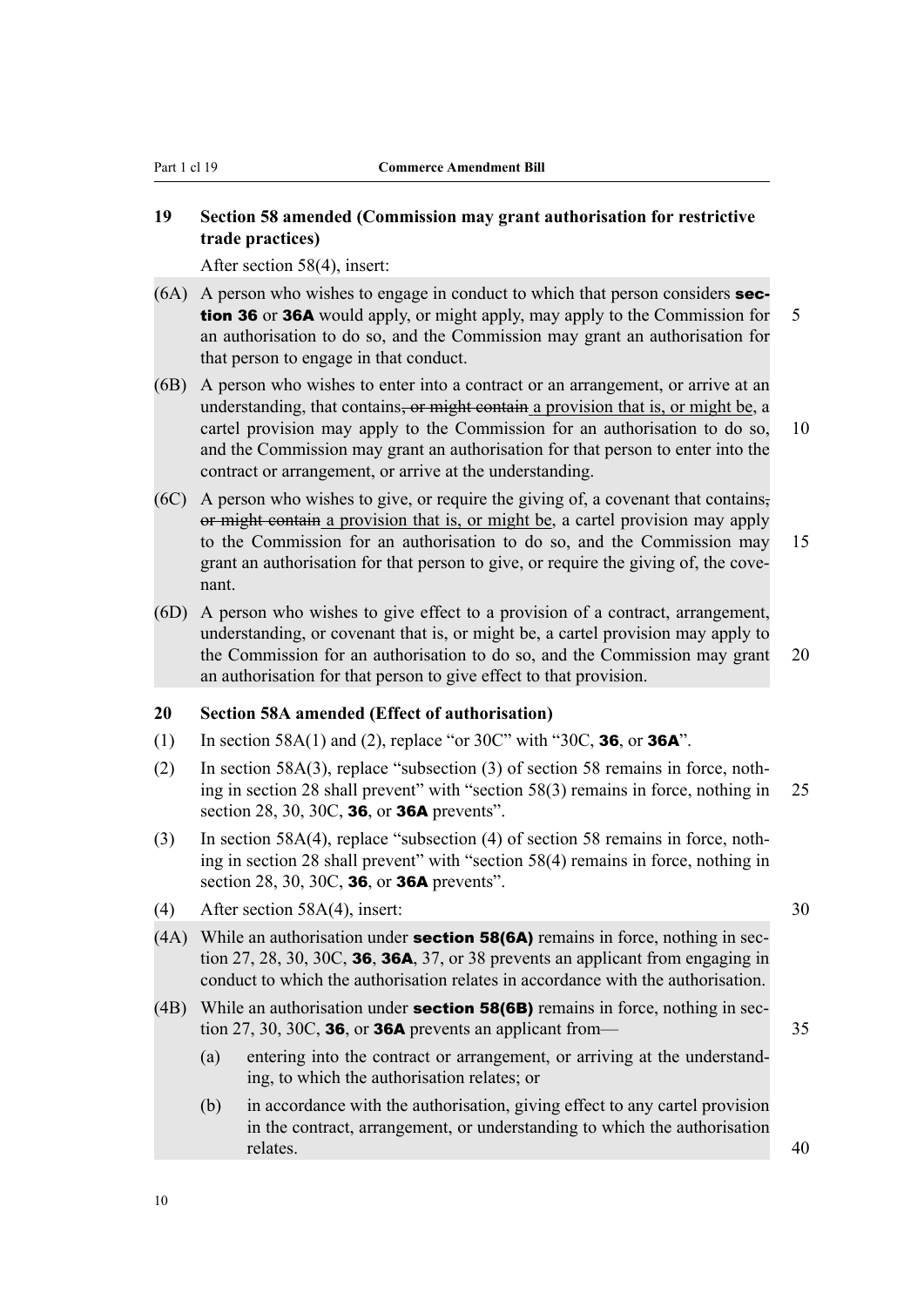#### <span id="page-13-0"></span>**19 Section 58 amended (Commission may grant authorisation for restrictive trade practices)**

After section 58(4), insert:

- $(6A)$  A person who wishes to engage in conduct to which that person considers **sec**tion 36 or 36A would apply, or might apply, may apply to the Commission for 5 an authorisation to do so, and the Commission may grant an authorisation for that person to engage in that conduct.
- (6B) A person who wishes to enter into a contract or an arrangement, or arrive at an understanding, that contains<del>, or might contain</del> a provision that is, or might be, a cartel provision may apply to the Commission for an authorisation to do so, 10 and the Commission may grant an authorisation for that person to enter into the contract or arrangement, or arrive at the understanding.
- (6C) A person who wishes to give, or require the giving of, a covenant that contains, or might contain a provision that is, or might be, a cartel provision may apply to the Commission for an authorisation to do so, and the Commission may 15 grant an authorisation for that person to give, or require the giving of, the covenant.
- (6D) A person who wishes to give effect to a provision of a contract, arrangement, understanding, or covenant that is, or might be, a cartel provision may apply to the Commission for an authorisation to do so, and the Commission may grant 20 an authorisation for that person to give effect to that provision.

#### **20 Section 58A amended (Effect of authorisation)**

- (1) In section 58A(1) and (2), replace "or 30C" with "30C, **36,** or **36A**".
- (2) In section 58A(3), replace "subsection (3) of section 58 remains in force, noth‐ ing in section 28 shall prevent" with "section 58(3) remains in force, nothing in 25 section 28, 30, 30C, **36**, or **36A** prevents".
- (3) In section 58A(4), replace "subsection (4) of section 58 remains in force, noth‐ ing in section 28 shall prevent" with "section 58(4) remains in force, nothing in section 28, 30, 30C, **36**, or **36A** prevents".
- (4) After section 58A(4), insert: 30
- (4A) While an authorisation under **section 58(6A)** remains in force, nothing in section  $27, 28, 30, 30C,$  **36, 36A**,  $37$ , or  $38$  prevents an applicant from engaging in conduct to which the authorisation relates in accordance with the authorisation.
- (4B) While an authorisation under **section 58(6B)** remains in force, nothing in section 27, 30, 30C, **36,** or **36A** prevents an applicant from— $\qquad$  35
	- (a) entering into the contract or arrangement, or arriving at the understand‐ ing, to which the authorisation relates; or
	- (b) in accordance with the authorisation, giving effect to any cartel provision in the contract, arrangement, or understanding to which the authorisation relates. 40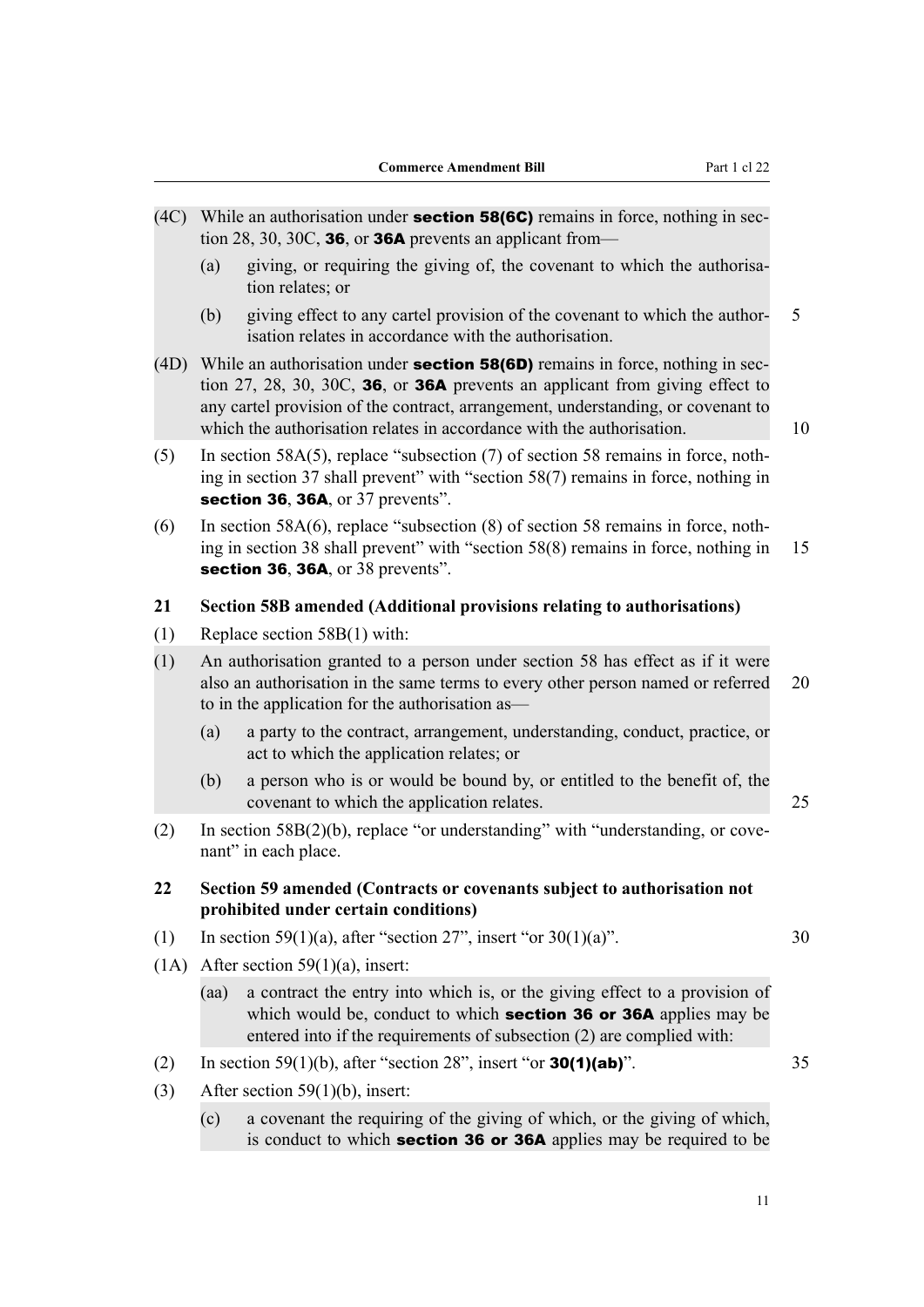<span id="page-14-0"></span>(4C) While an authorisation under **section 58(6C)** remains in force, nothing in sec-

(a) giving, or requiring the giving of, the covenant to which the authorisa-

(b) giving effect to any cartel provision of the covenant to which the author‐ 5

tion 28, 30, 30C, **36**, or **36A** prevents an applicant from—

tion relates; or

isation relates in accordance with the authorisation. (4D) While an authorisation under **section 58(6D)** remains in force, nothing in section 27, 28, 30, 30C, 36, or 36A prevents an applicant from giving effect to any cartel provision of the contract, arrangement, understanding, or covenant to which the authorisation relates in accordance with the authorisation. 10 (5) In section 58A(5), replace "subsection (7) of section 58 remains in force, nothing in section 37 shall prevent" with "section 58(7) remains in force, nothing in section 36, 36A, or 37 prevents". (6) In section 58A(6), replace "subsection  $(8)$  of section 58 remains in force, nothing in section 38 shall prevent" with "section 58(8) remains in force, nothing in 15 section 36, 36A, or 38 prevents". **21 Section 58B amended (Additional provisions relating to authorisations)** (1) Replace section 58B(1) with: (1) An authorisation granted to a person under section 58 has effect as if it were also an authorisation in the same terms to every other person named or referred 20 to in the application for the authorisation as— (a) a party to the contract, arrangement, understanding, conduct, practice, or act to which the application relates; or (b) a person who is or would be bound by, or entitled to the benefit of, the covenant to which the application relates. 25 (2) In section 58B(2)(b), replace "or understanding" with "understanding, or cove‐ nant" in each place. **22 Section 59 amended (Contracts or covenants subject to authorisation not prohibited under certain conditions)** (1) In section 59(1)(a), after "section 27", insert "or  $30(1)(a)$ ". 30 (1A) After section 59(1)(a), insert: (aa) a contract the entry into which is, or the giving effect to a provision of which would be, conduct to which **section 36 or 36A** applies may be entered into if the requirements of subsection (2) are complied with: (2) In section 59(1)(b), after "section 28", insert "or **30(1)(ab)**".  $35$ (3) After section 59(1)(b), insert: (c) a covenant the requiring of the giving of which, or the giving of which,

is conduct to which section 36 or 36A applies may be required to be

11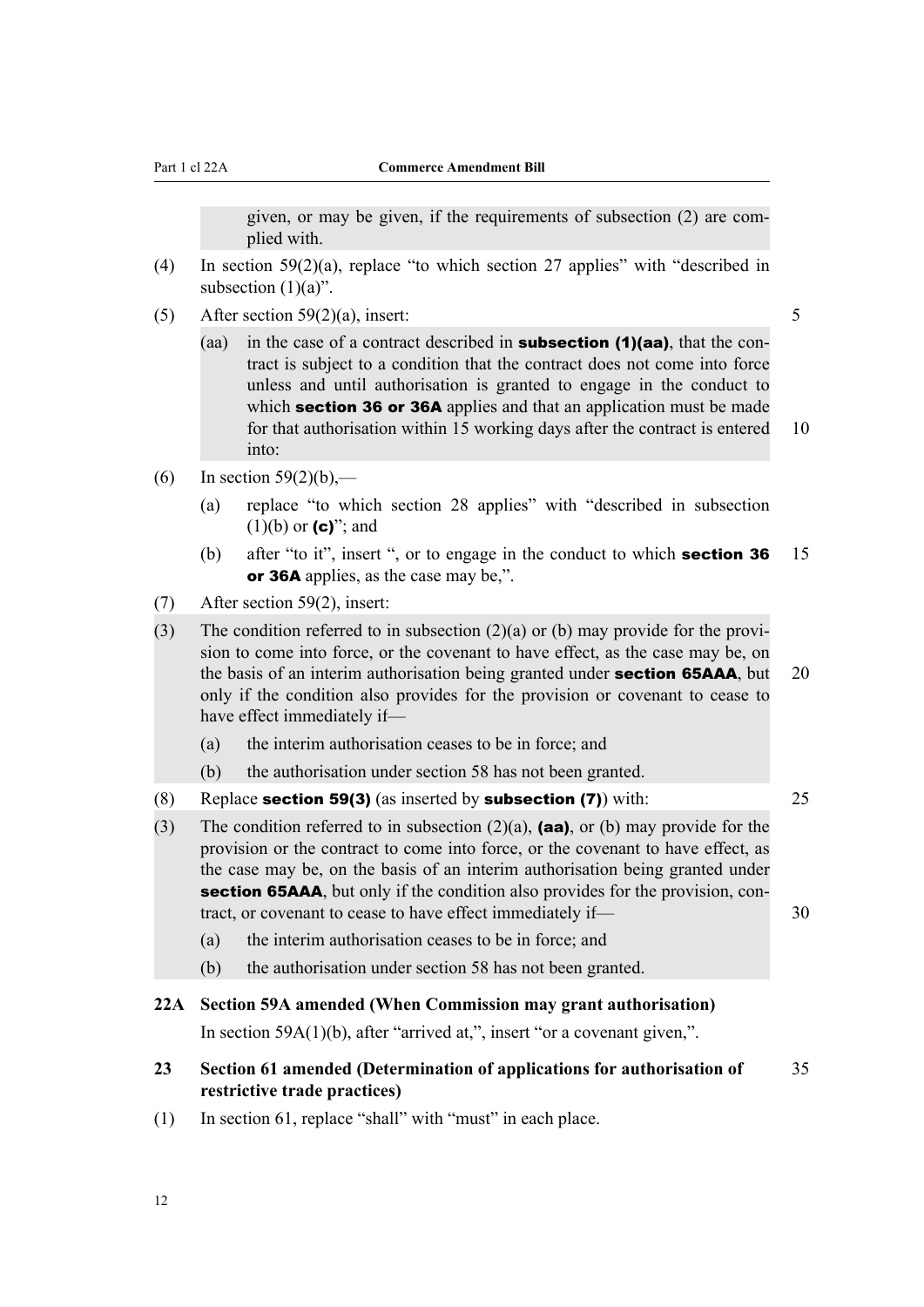given, or may be given, if the requirements of subsection (2) are com‐ plied with.

- <span id="page-15-0"></span>(4) In section 59(2)(a), replace "to which section 27 applies" with "described in subsection  $(1)(a)$ ".
- (5) After section  $59(2)(a)$ , insert: 5
	- (aa) in the case of a contract described in **subsection (1)(aa)**, that the contract is subject to a condition that the contract does not come into force unless and until authorisation is granted to engage in the conduct to which **section 36 or 36A** applies and that an application must be made for that authorisation within 15 working days after the contract is entered 10 into:
- (6) In section  $59(2)(b)$ ,—
	- (a) replace "to which section 28 applies" with "described in subsection  $(1)(b)$  or  $(c)$ "; and
	- (b) after "to it", insert ", or to engage in the conduct to which **section 36** 15 or 36A applies, as the case may be.".
- (7) After section 59(2), insert:
- (3) The condition referred to in subsection  $(2)(a)$  or (b) may provide for the provision to come into force, or the covenant to have effect, as the case may be, on the basis of an interim authorisation being granted under **section 65AAA**, but 20 only if the condition also provides for the provision or covenant to cease to have effect immediately if—
	- (a) the interim authorisation ceases to be in force; and
	- (b) the authorisation under section 58 has not been granted.
- (8) Replace **section 59(3)** (as inserted by **subsection (7)**) with:  $25$
- (3) The condition referred to in subsection  $(2)(a)$ , **(aa)**, or (b) may provide for the provision or the contract to come into force, or the covenant to have effect, as the case may be, on the basis of an interim authorisation being granted under section 65AAA, but only if the condition also provides for the provision, contract, or covenant to cease to have effect immediately if— 30
	- (a) the interim authorisation ceases to be in force; and
	- (b) the authorisation under section 58 has not been granted.

#### **22A Section 59A amended (When Commission may grant authorisation)**

In section 59A(1)(b), after "arrived at,", insert "or a covenant given,".

- **23 Section 61 amended (Determination of applications for authorisation of** 35 **restrictive trade practices)**
- (1) In section 61, replace "shall" with "must" in each place.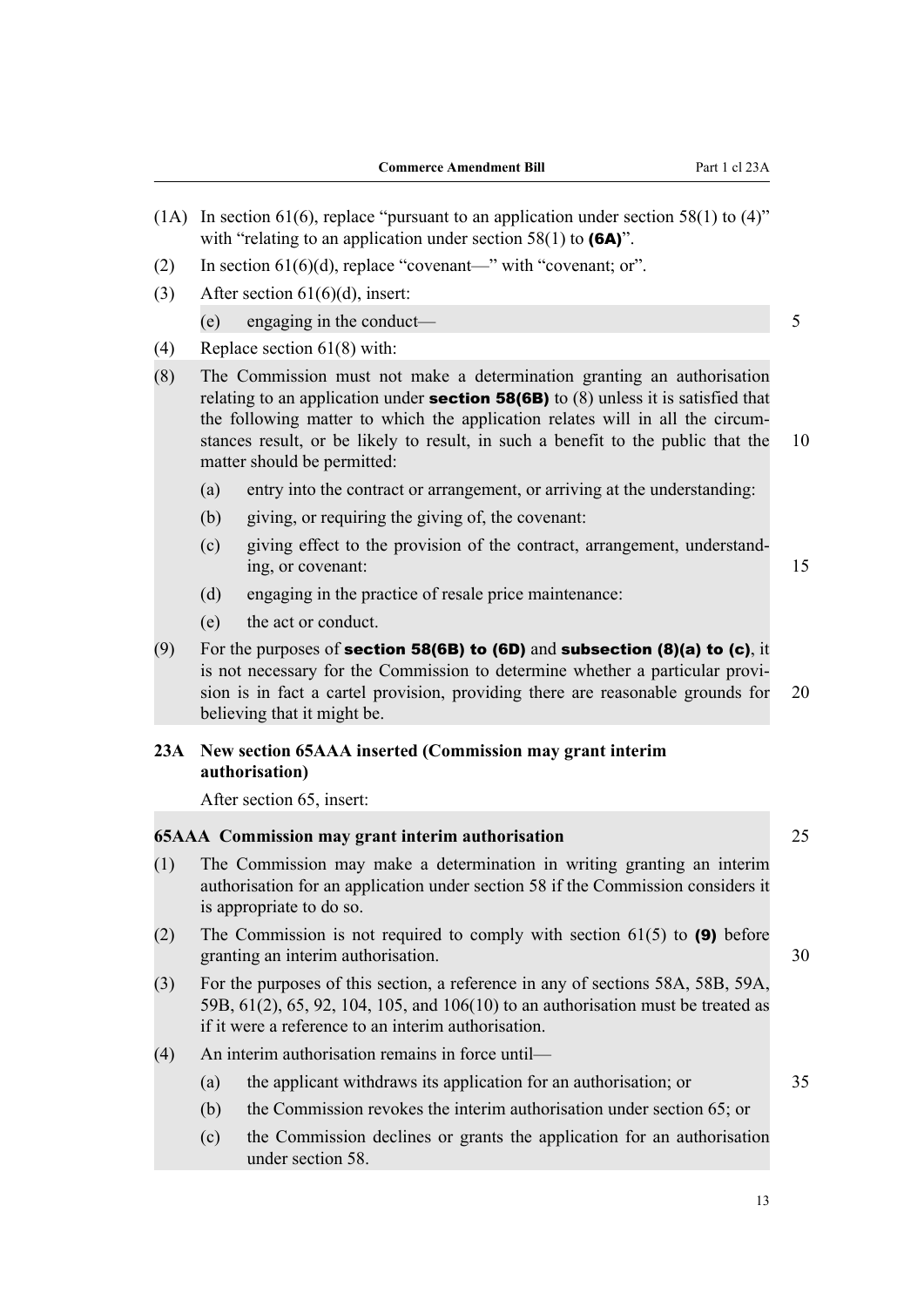<span id="page-16-0"></span>(1A) In section 61(6), replace "pursuant to an application under section 58(1) to  $(4)$ " with "relating to an application under section  $58(1)$  to  $(6A)$ ". (2) In section  $61(6)(d)$ , replace "covenant—" with "covenant; or". (3) After section  $61(6)(d)$ , insert: (e) engaging in the conduct— $\frac{5}{5}$ (4) Replace section 61(8) with: (8) The Commission must not make a determination granting an authorisation relating to an application under **section 58(6B)** to  $(8)$  unless it is satisfied that the following matter to which the application relates will in all the circumstances result, or be likely to result, in such a benefit to the public that the 10 matter should be permitted: (a) entry into the contract or arrangement, or arriving at the understanding: (b) giving, or requiring the giving of, the covenant: (c) giving effect to the provision of the contract, arrangement, understand‐ ing, or covenant: 15 (d) engaging in the practice of resale price maintenance: (e) the act or conduct. (9) For the purposes of **section 58(6B) to (6D)** and **subsection (8)(a) to (c)**, it is not necessary for the Commission to determine whether a particular provision is in fact a cartel provision, providing there are reasonable grounds for 20 believing that it might be. **23A New section 65AAA inserted (Commission may grant interim authorisation)** After section 65, insert: **65AAA Commission may grant interim authorisation** 25 (1) The Commission may make a determination in writing granting an interim authorisation for an application under section 58 if the Commission considers it is appropriate to do so. (2) The Commission is not required to comply with section  $61(5)$  to (9) before granting an interim authorisation. 30 (3) For the purposes of this section, a reference in any of sections 58A, 58B, 59A, 59B, 61(2), 65, 92, 104, 105, and 106(10) to an authorisation must be treated as if it were a reference to an interim authorisation. (4) An interim authorisation remains in force until— (a) the applicant withdraws its application for an authorisation; or 35 (b) the Commission revokes the interim authorisation under section 65; or (c) the Commission declines or grants the application for an authorisation under section 58.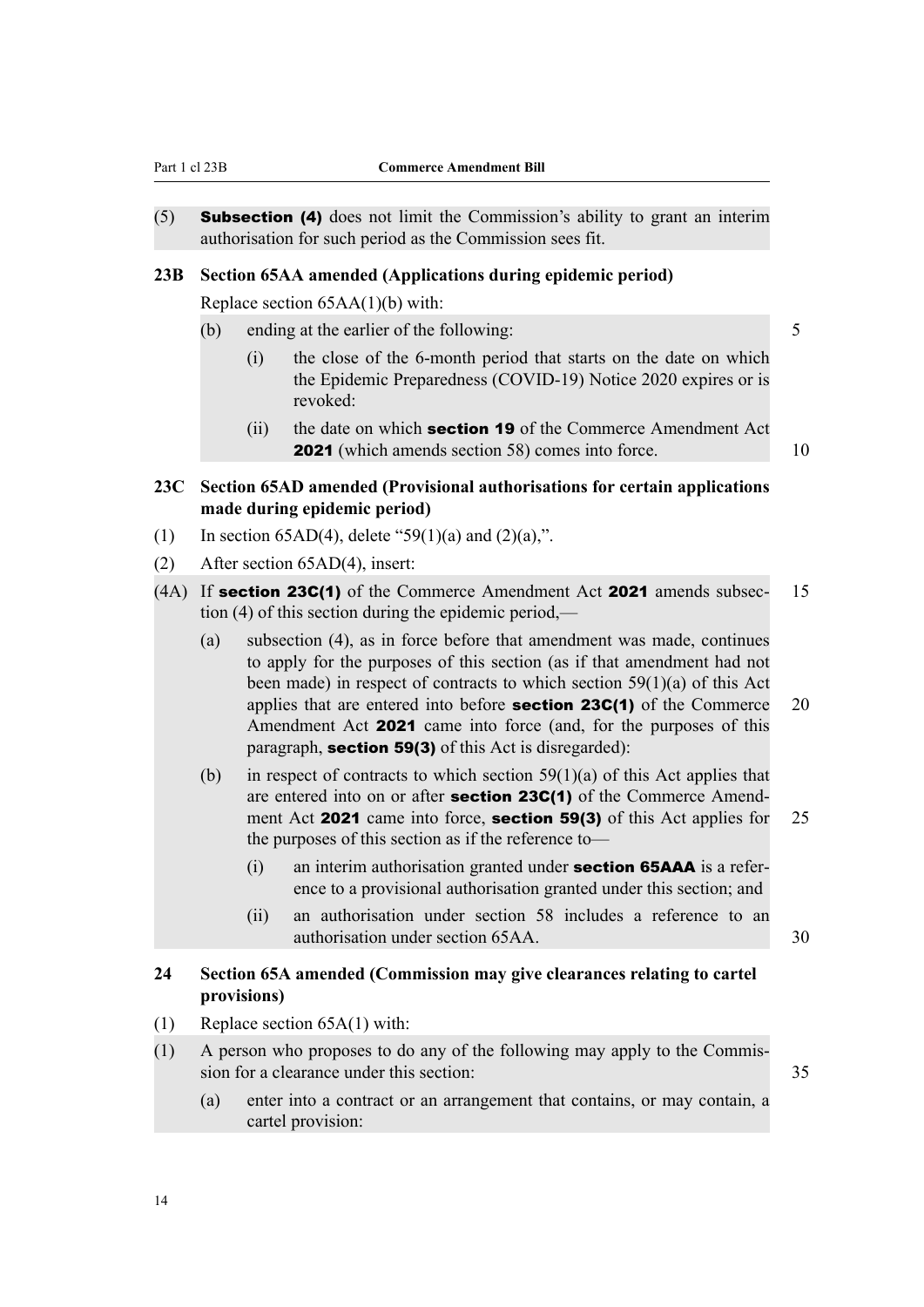<span id="page-17-0"></span>(5) Subsection (4) does not limit the Commission's ability to grant an interim authorisation for such period as the Commission sees fit.

#### **23B Section 65AA amended (Applications during epidemic period)**

Replace section 65AA(1)(b) with:

- (b) ending at the earlier of the following: 5
	- (i) the close of the 6-month period that starts on the date on which the Epidemic Preparedness (COVID-19) Notice 2020 expires or is revoked:
	- (ii) the date on which **section 19** of the Commerce Amendment Act **2021** (which amends section 58) comes into force. 10
- **23C Section 65AD amended (Provisional authorisations for certain applications made during epidemic period)**
- (1) In section 65AD(4), delete "59(1)(a) and  $(2)(a)$ ,".
- (2) After section 65AD(4), insert:
- (4A) If **section 23C(1)** of the Commerce Amendment Act **2021** amends subsec- 15 tion (4) of this section during the epidemic period,—
	- (a) subsection (4), as in force before that amendment was made, continues to apply for the purposes of this section (as if that amendment had not been made) in respect of contracts to which section  $59(1)(a)$  of this Act applies that are entered into before **section 23C(1)** of the Commerce 20 Amendment Act 2021 came into force (and, for the purposes of this paragraph, section 59(3) of this Act is disregarded):
	- (b) in respect of contracts to which section  $59(1)(a)$  of this Act applies that are entered into on or after **section 23C(1)** of the Commerce Amendment Act **2021** came into force, **section 59(3)** of this Act applies for 25 the purposes of this section as if the reference to—
		- $(i)$  an interim authorisation granted under **section 65AAA** is a reference to a provisional authorisation granted under this section; and
		- (ii) an authorisation under section 58 includes a reference to an authorisation under section 65AA. 30

#### **24 Section 65A amended (Commission may give clearances relating to cartel provisions)**

- (1) Replace section 65A(1) with:
- (1) A person who proposes to do any of the following may apply to the Commis‐ sion for a clearance under this section: 35
	- (a) enter into a contract or an arrangement that contains, or may contain, a cartel provision:

14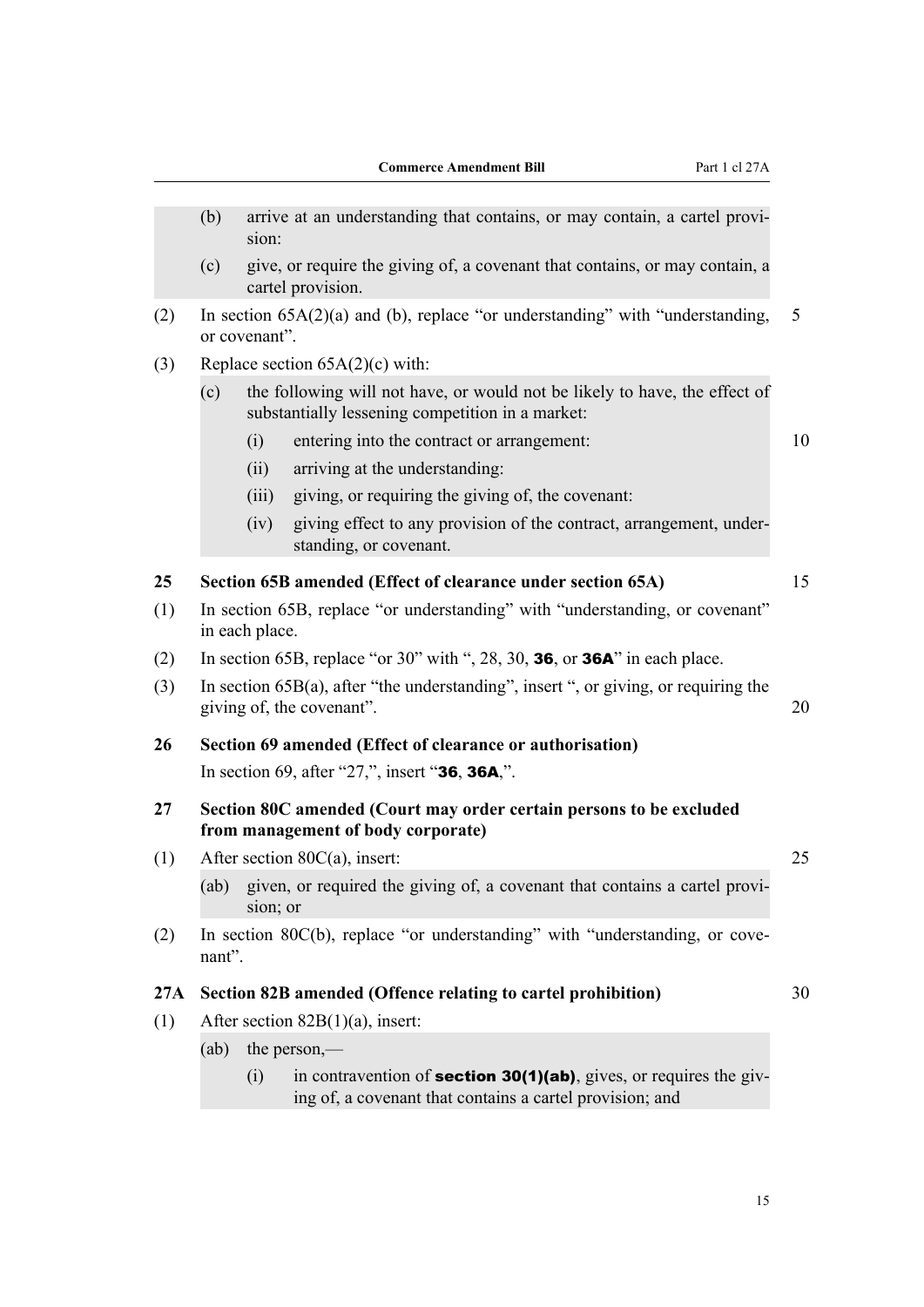<span id="page-18-0"></span>

|     | (b)                                 | sion:                                                                                                                          | arrive at an understanding that contains, or may contain, a cartel provi-                                                              |    |  |  |  |
|-----|-------------------------------------|--------------------------------------------------------------------------------------------------------------------------------|----------------------------------------------------------------------------------------------------------------------------------------|----|--|--|--|
|     | (c)                                 |                                                                                                                                | give, or require the giving of, a covenant that contains, or may contain, a<br>cartel provision.                                       |    |  |  |  |
| (2) |                                     | or covenant".                                                                                                                  | In section $65A(2)(a)$ and (b), replace "or understanding" with "understanding,                                                        | 5  |  |  |  |
| (3) |                                     |                                                                                                                                | Replace section $65A(2)(c)$ with:                                                                                                      |    |  |  |  |
|     | (c)                                 | the following will not have, or would not be likely to have, the effect of<br>substantially lessening competition in a market: |                                                                                                                                        |    |  |  |  |
|     |                                     | (i)                                                                                                                            | entering into the contract or arrangement:                                                                                             | 10 |  |  |  |
|     |                                     | (ii)                                                                                                                           | arriving at the understanding:                                                                                                         |    |  |  |  |
|     |                                     | (iii)                                                                                                                          | giving, or requiring the giving of, the covenant:                                                                                      |    |  |  |  |
|     |                                     | (iv)                                                                                                                           | giving effect to any provision of the contract, arrangement, under-<br>standing, or covenant.                                          |    |  |  |  |
| 25  |                                     |                                                                                                                                | Section 65B amended (Effect of clearance under section 65A)                                                                            | 15 |  |  |  |
| (1) |                                     | In section 65B, replace "or understanding" with "understanding, or covenant"<br>in each place.                                 |                                                                                                                                        |    |  |  |  |
| (2) |                                     |                                                                                                                                | In section 65B, replace "or 30" with ", 28, 30, 36, or 36A" in each place.                                                             |    |  |  |  |
| (3) |                                     |                                                                                                                                | In section $65B(a)$ , after "the understanding", insert ", or giving, or requiring the<br>giving of, the covenant".                    | 20 |  |  |  |
| 26  |                                     |                                                                                                                                | Section 69 amended (Effect of clearance or authorisation)                                                                              |    |  |  |  |
|     |                                     |                                                                                                                                | In section 69, after "27,", insert "36, 36A,".                                                                                         |    |  |  |  |
| 27  |                                     |                                                                                                                                | Section 80C amended (Court may order certain persons to be excluded<br>from management of body corporate)                              |    |  |  |  |
| (1) |                                     |                                                                                                                                | After section $80C(a)$ , insert:                                                                                                       | 25 |  |  |  |
|     |                                     | sion; or                                                                                                                       | (ab) given, or required the giving of, a covenant that contains a cartel provi-                                                        |    |  |  |  |
| (2) | nant".                              |                                                                                                                                | In section 80C(b), replace "or understanding" with "understanding, or cove-                                                            |    |  |  |  |
| 27A |                                     |                                                                                                                                | Section 82B amended (Offence relating to cartel prohibition)                                                                           | 30 |  |  |  |
| (1) | After section $82B(1)(a)$ , insert: |                                                                                                                                |                                                                                                                                        |    |  |  |  |
|     | (ab)                                | the person,—                                                                                                                   |                                                                                                                                        |    |  |  |  |
|     |                                     | (i)                                                                                                                            | in contravention of <b>section 30(1)(ab)</b> , gives, or requires the giv-<br>ing of, a covenant that contains a cartel provision; and |    |  |  |  |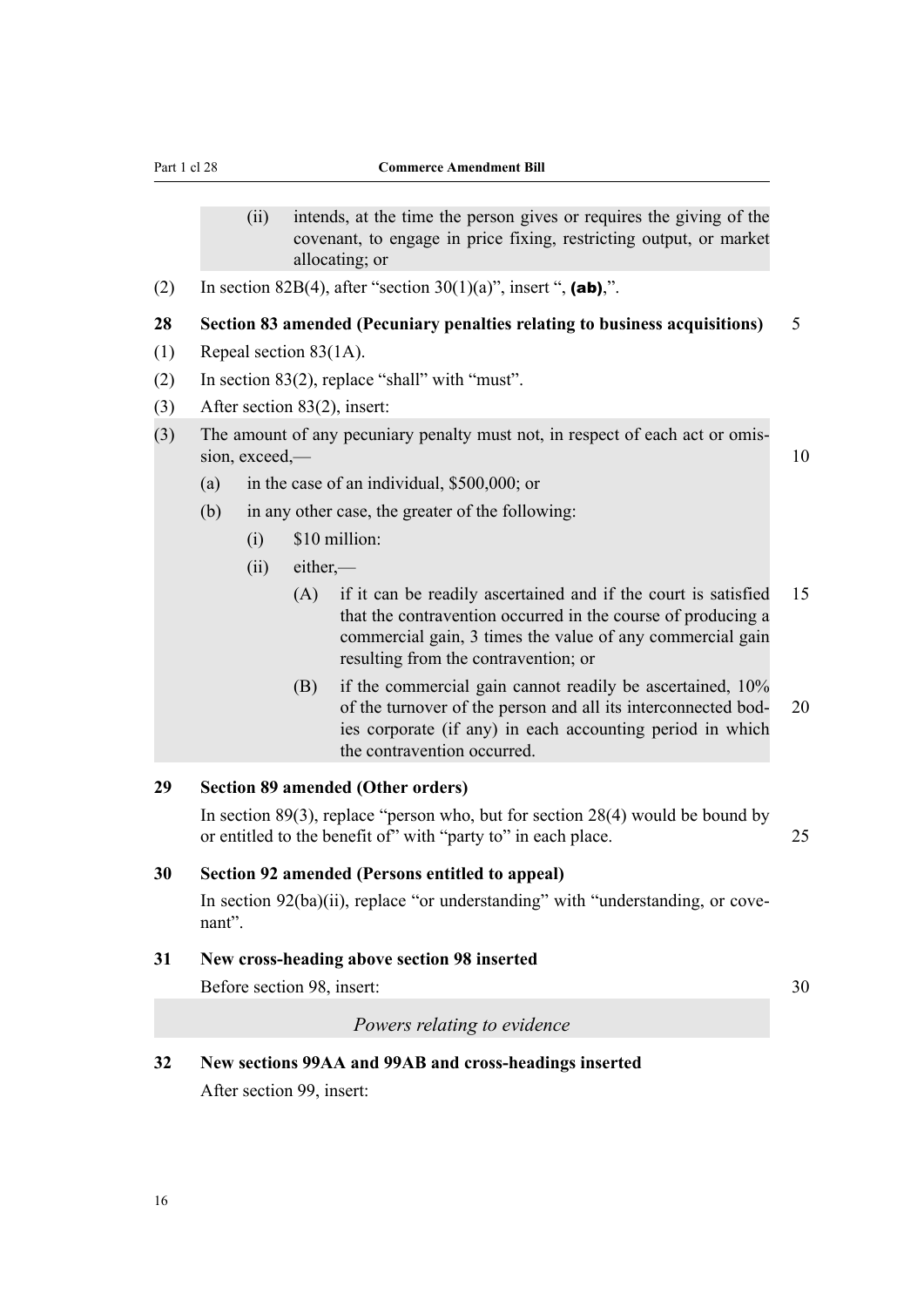- <span id="page-19-0"></span>(ii) intends, at the time the person gives or requires the giving of the covenant, to engage in price fixing, restricting output, or market allocating; or
- (2) In section 82B(4), after "section  $30(1)(a)$ ", insert ", (ab),".

#### **28 Section 83 amended (Pecuniary penalties relating to business acquisitions)** 5

- (1) Repeal section 83(1A).
- (2) In section 83(2), replace "shall" with "must".
- (3) After section 83(2), insert:
- (3) The amount of any pecuniary penalty must not, in respect of each act or omis‐ sion, exceed,— 10
	- (a) in the case of an individual, \$500,000; or
	- (b) in any other case, the greater of the following:
		- (i) \$10 million:
		- (ii) either,—
			- (A) if it can be readily ascertained and if the court is satisfied 15 that the contravention occurred in the course of producing a commercial gain, 3 times the value of any commercial gain resulting from the contravention; or
			- (B) if the commercial gain cannot readily be ascertained, 10% of the turnover of the person and all its interconnected bod- 20 ies corporate (if any) in each accounting period in which the contravention occurred.

#### **29 Section 89 amended (Other orders)**

In section  $89(3)$ , replace "person who, but for section  $28(4)$  would be bound by or entitled to the benefit of with "party to" in each place. 25

#### **30 Section 92 amended (Persons entitled to appeal)**

In section  $92(ba)(ii)$ , replace "or understanding" with "understanding, or covenant".

#### **31 New cross-heading above section 98 inserted**

Before section 98, insert: 30

#### *Powers relating to evidence*

# **32 New sections 99AA and 99AB and cross-headings inserted**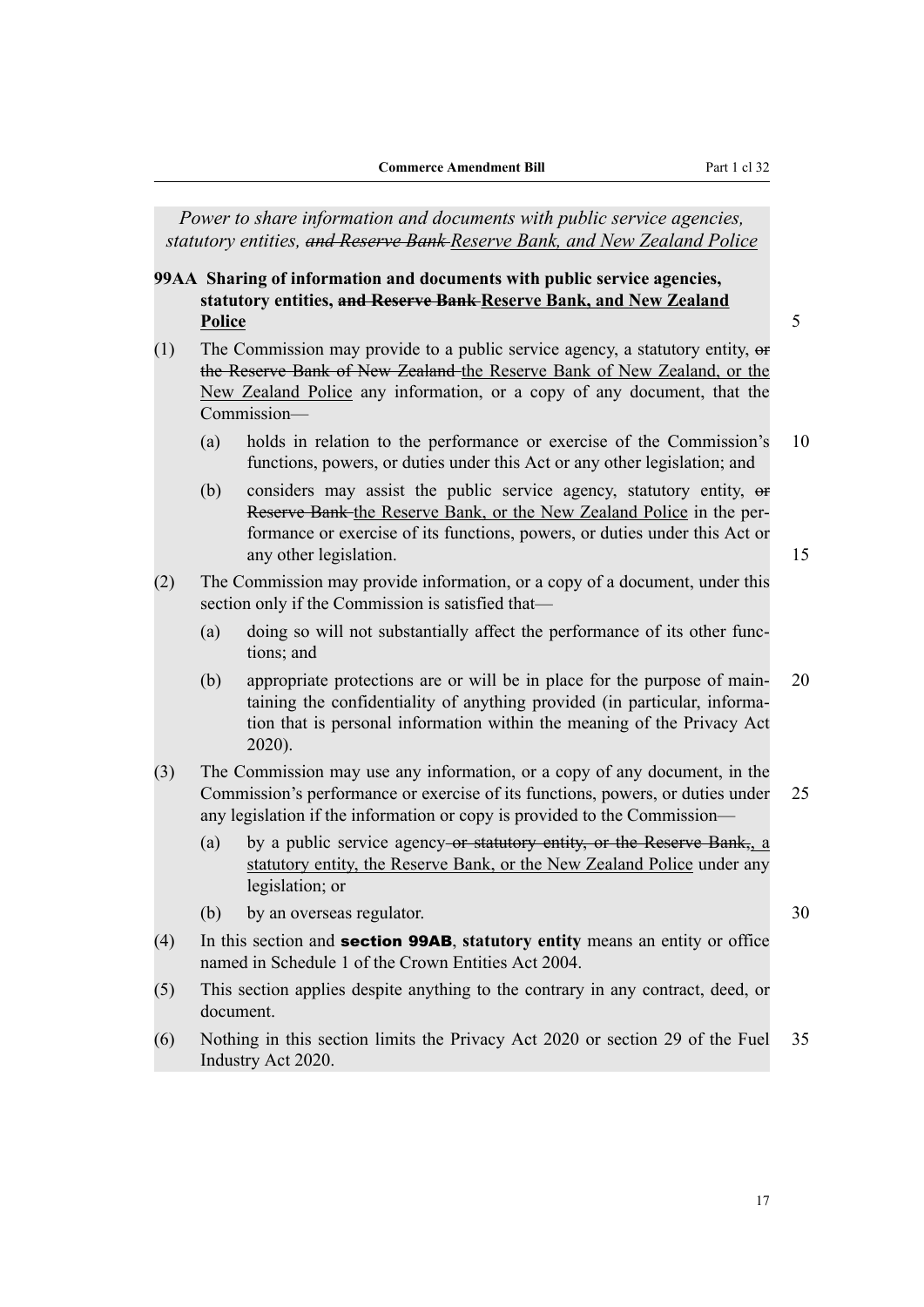<span id="page-20-0"></span>*Power to share information and documents with public service agencies, statutory entities, and Reserve Bank Reserve Bank, and New Zealand Police*

**99AA Sharing of information and documents with public service agencies, statutory entities, and Reserve Bank Reserve Bank, and New Zealand Police** 5

- (1) The Commission may provide to a public service agency, a statutory entity,  $\Theta$ the Reserve Bank of New Zealand the Reserve Bank of New Zealand, or the New Zealand Police any information, or a copy of any document, that the Commission—
	- (a) holds in relation to the performance or exercise of the Commission's 10 functions, powers, or duties under this Act or any other legislation; and
	- (b) considers may assist the public service agency, statutory entity, or Reserve Bank the Reserve Bank, or the New Zealand Police in the per‐ formance or exercise of its functions, powers, or duties under this Act or any other legislation. 15
- (2) The Commission may provide information, or a copy of a document, under this section only if the Commission is satisfied that—
	- (a) doing so will not substantially affect the performance of its other functions; and
	- (b) appropriate protections are or will be in place for the purpose of main‐ 20 taining the confidentiality of anything provided (in particular, informa‐ tion that is personal information within the meaning of the Privacy Act 2020).
- (3) The Commission may use any information, or a copy of any document, in the Commission's performance or exercise of its functions, powers, or duties under 25 any legislation if the information or copy is provided to the Commission—
	- (a) by a public service agency-or statutory entity, or the Reserve Bank,, a statutory entity, the Reserve Bank, or the New Zealand Police under any legislation; or
	- (b) by an overseas regulator. 30
- (4) In this section and section 99AB, **statutory entity** means an entity or office named in Schedule 1 of the Crown Entities Act 2004.
- (5) This section applies despite anything to the contrary in any contract, deed, or document.
- (6) Nothing in this section limits the Privacy Act 2020 or section 29 of the Fuel 35 Industry Act 2020.
	- 17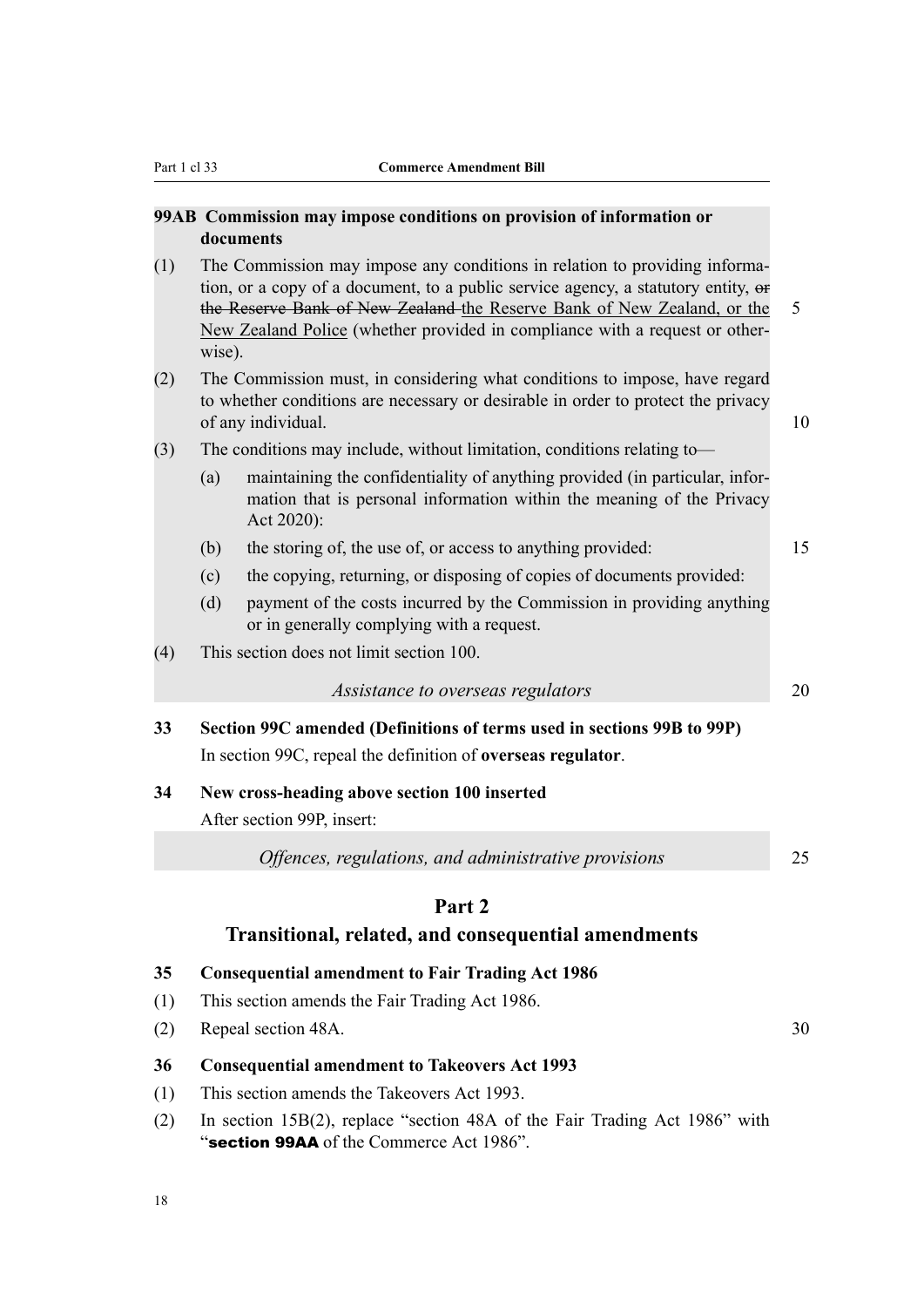#### <span id="page-21-0"></span>**99AB Commission may impose conditions on provision of information or documents**

- (1) The Commission may impose any conditions in relation to providing informa‐ tion, or a copy of a document, to a public service agency, a statutory entity, or the Reserve Bank of New Zealand the Reserve Bank of New Zealand, or the 5 New Zealand Police (whether provided in compliance with a request or other‐ wise).
- (2) The Commission must, in considering what conditions to impose, have regard to whether conditions are necessary or desirable in order to protect the privacy of any individual. 10
- (3) The conditions may include, without limitation, conditions relating to—
	- (a) maintaining the confidentiality of anything provided (in particular, infor‐ mation that is personal information within the meaning of the Privacy Act 2020):
	- (b) the storing of, the use of, or access to anything provided: 15
	- (c) the copying, returning, or disposing of copies of documents provided:
	- (d) payment of the costs incurred by the Commission in providing anything or in generally complying with a request.
- (4) This section does not limit section 100.

*Assistance to overseas regulators* 20

**33 Section 99C amended (Definitions of terms used in sections 99B to 99P)** In section 99C, repeal the definition of **overseas regulator**.

#### **34 New cross-heading above section 100 inserted**

After section 99P, insert:

*Offences, regulations, and administrative provisions* 25

#### **Part 2**

#### **Transitional, related, and consequential amendments**

- **35 Consequential amendment to Fair Trading Act 1986**
- (1) This section amends the Fair Trading Act 1986.
- (2) Repeal section 48A. 30

#### **36 Consequential amendment to Takeovers Act 1993**

- (1) This section amends the Takeovers Act 1993.
- (2) In section 15B(2), replace "section 48A of the Fair Trading Act 1986" with "section 99AA of the Commerce Act 1986".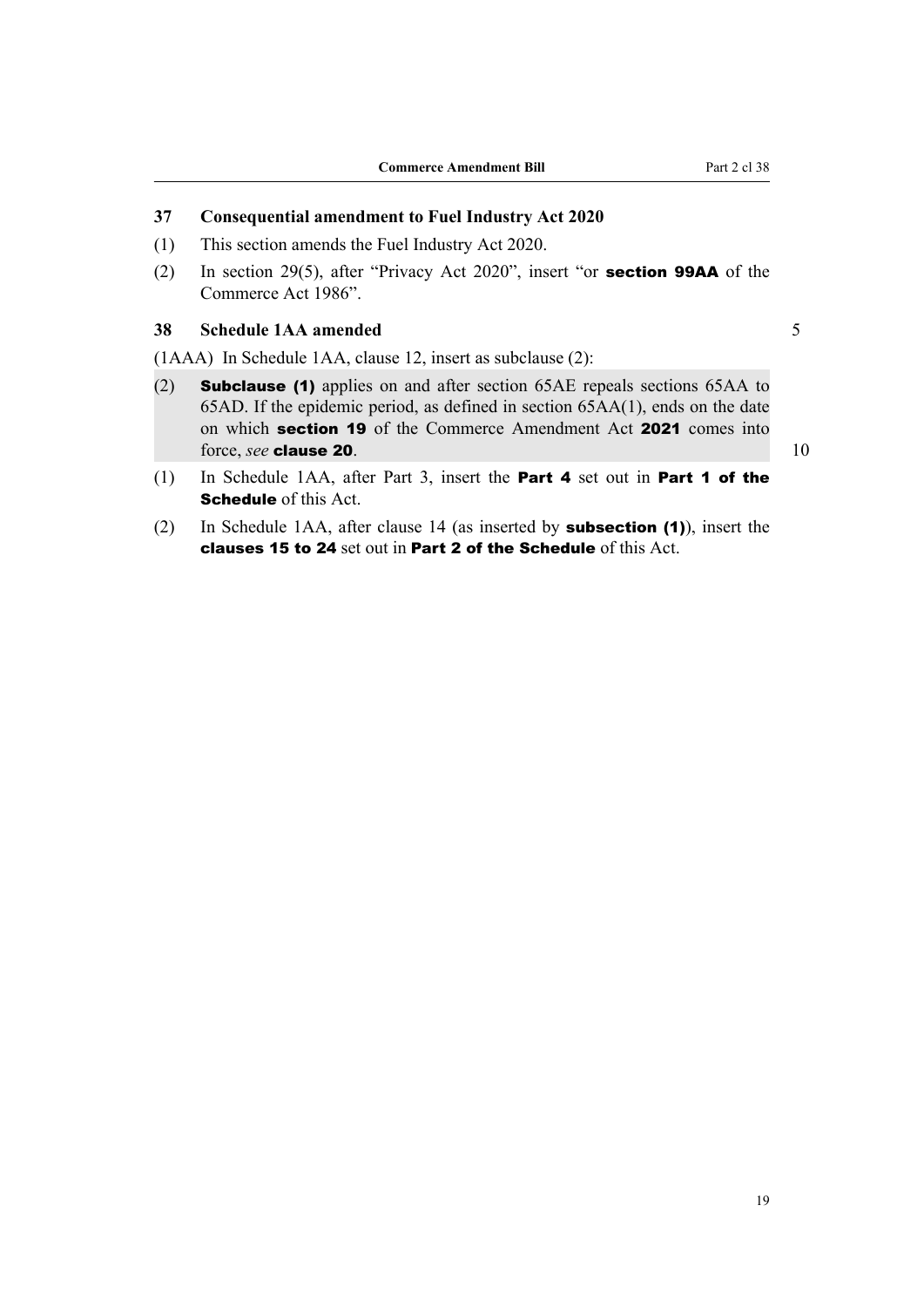#### <span id="page-22-0"></span>**37 Consequential amendment to Fuel Industry Act 2020**

- (1) This section amends the Fuel Industry Act 2020.
- (2) In section 29(5), after "Privacy Act 2020", insert "or section 99AA of the Commerce Act 1986".

#### **38 Schedule 1AA amended** 5

(1AAA) In Schedule 1AA, clause 12, insert as subclause (2):

- (2) Subclause (1) applies on and after section 65AE repeals sections 65AA to 65AD. If the epidemic period, as defined in section 65AA(1), ends on the date on which section 19 of the Commerce Amendment Act 2021 comes into force, *see* **clause 20.** 10
- (1) In Schedule 1AA, after Part 3, insert the Part 4 set out in Part 1 of the Schedule of this Act.
- (2) In Schedule 1AA, after clause 14 (as inserted by subsection (1)), insert the clauses 15 to 24 set out in Part 2 of the Schedule of this Act.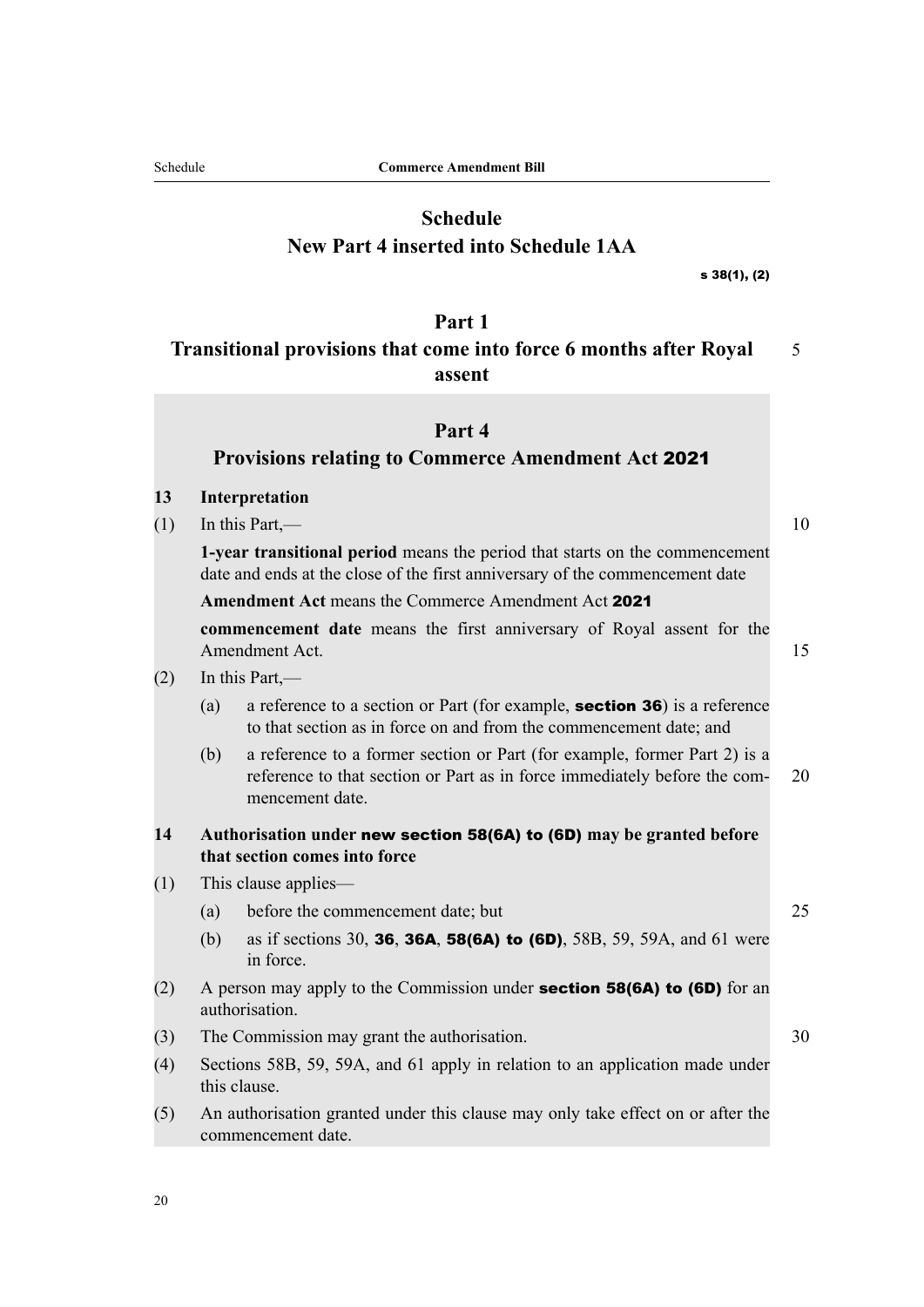<span id="page-23-0"></span>

## **Schedule New Part 4 inserted into Schedule 1AA**

s 38(1), (2)

#### **Part 1**

## **Transitional provisions that come into force 6 months after Royal** 5 **assent**

#### **Part 4**

#### **Provisions relating to Commerce Amendment Act** 2021

#### **13 Interpretation**

 $(1)$  In this Part,  $-$  10

**1-year transitional period** means the period that starts on the commencement date and ends at the close of the first anniversary of the commencement date

**Amendment Act** means the Commerce Amendment Act 2021

**commencement date** means the first anniversary of Royal assent for the Amendment Act. 15

- $(2)$  In this Part,—
	- (a) a reference to a section or Part (for example, **section 36**) is a reference to that section as in force on and from the commencement date; and
	- (b) a reference to a former section or Part (for example, former Part 2) is a reference to that section or Part as in force immediately before the com- 20 mencement date.

#### **14 Authorisation under** new section 58(6A) to (6D) **may be granted before that section comes into force**

(1) This clause applies—

(a) before the commencement date; but 25

- (b) as if sections 30, 36, 36A, 58(6A) to (6D), 58B, 59, 59A, and 61 were in force.
- (2) A person may apply to the Commission under **section 58(6A) to (6D)** for an authorisation.
- (3) The Commission may grant the authorisation. 30
- (4) Sections 58B, 59, 59A, and 61 apply in relation to an application made under this clause.
- (5) An authorisation granted under this clause may only take effect on or after the commencement date.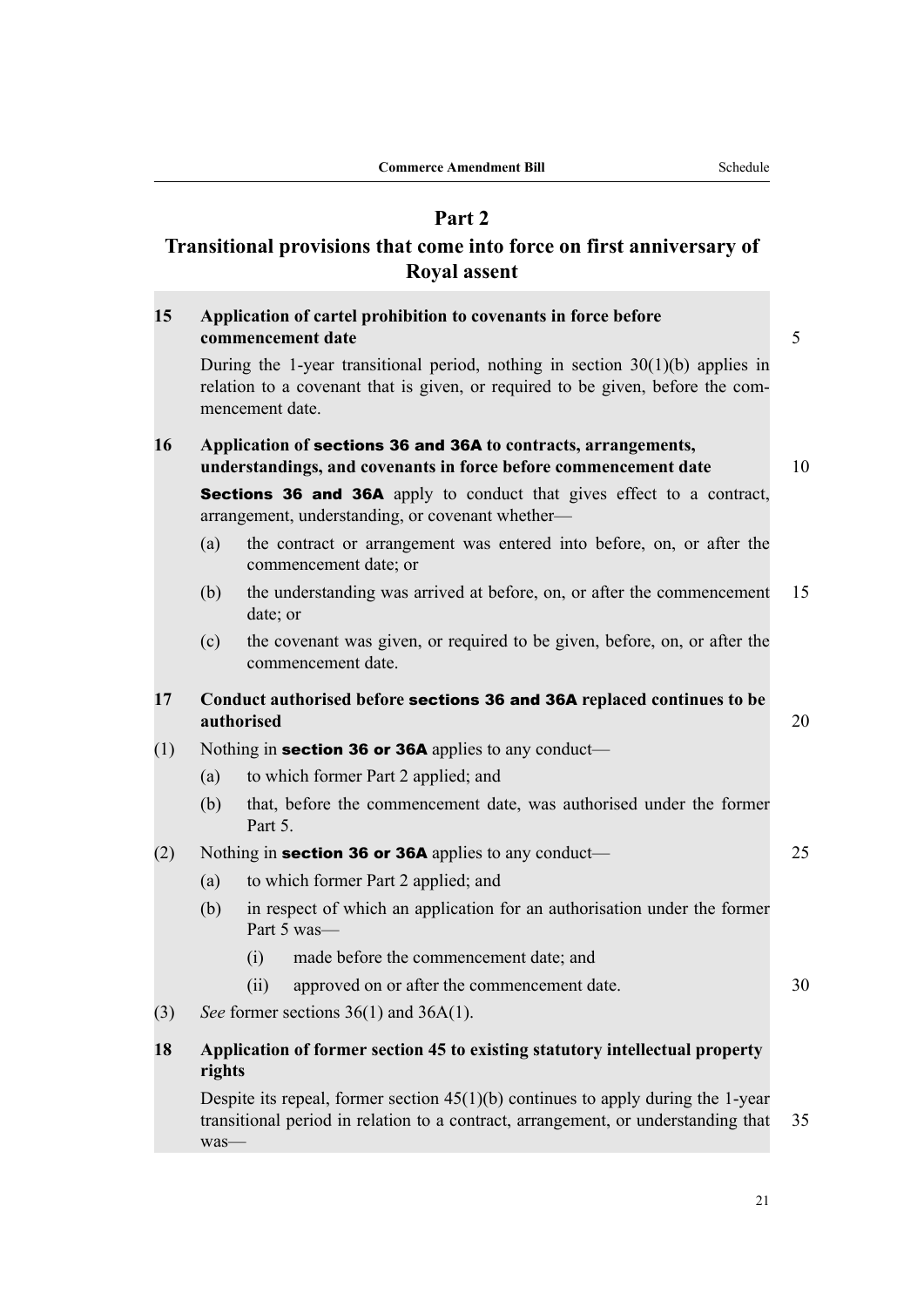## **Part 2**

## **Transitional provisions that come into force on first anniversary of Royal assent**

| 15  |                                                             | Application of cartel prohibition to covenants in force before<br>commencement date                                                                                                  | 5  |  |  |
|-----|-------------------------------------------------------------|--------------------------------------------------------------------------------------------------------------------------------------------------------------------------------------|----|--|--|
|     |                                                             | During the 1-year transitional period, nothing in section $30(1)(b)$ applies in<br>relation to a covenant that is given, or required to be given, before the com-<br>mencement date. |    |  |  |
| 16  |                                                             | Application of sections 36 and 36A to contracts, arrangements,<br>understandings, and covenants in force before commencement date                                                    | 10 |  |  |
|     |                                                             | <b>Sections 36 and 36A</b> apply to conduct that gives effect to a contract,<br>arrangement, understanding, or covenant whether-                                                     |    |  |  |
|     | (a)                                                         | the contract or arrangement was entered into before, on, or after the<br>commencement date; or                                                                                       |    |  |  |
|     | (b)                                                         | the understanding was arrived at before, on, or after the commencement<br>date; or                                                                                                   | 15 |  |  |
|     | (c)                                                         | the covenant was given, or required to be given, before, on, or after the<br>commencement date.                                                                                      |    |  |  |
| 17  |                                                             | Conduct authorised before sections 36 and 36A replaced continues to be<br>authorised                                                                                                 | 20 |  |  |
| (1) | Nothing in <b>section 36 or 36A</b> applies to any conduct— |                                                                                                                                                                                      |    |  |  |
|     | (a)                                                         | to which former Part 2 applied; and                                                                                                                                                  |    |  |  |
|     | (b)                                                         | that, before the commencement date, was authorised under the former<br>Part 5.                                                                                                       |    |  |  |
| (2) |                                                             | Nothing in section 36 or 36A applies to any conduct—                                                                                                                                 | 25 |  |  |
|     | (a)                                                         | to which former Part 2 applied; and                                                                                                                                                  |    |  |  |
|     | (b)                                                         | in respect of which an application for an authorisation under the former<br>Part 5 was-                                                                                              |    |  |  |
|     |                                                             | made before the commencement date; and<br>(i)                                                                                                                                        |    |  |  |
|     |                                                             | (ii)<br>approved on or after the commencement date.                                                                                                                                  | 30 |  |  |
| (3) |                                                             | See former sections $36(1)$ and $36A(1)$ .                                                                                                                                           |    |  |  |
| 18  | rights                                                      | Application of former section 45 to existing statutory intellectual property                                                                                                         |    |  |  |
|     |                                                             | Despite its repeal, former section $45(1)(b)$ continues to apply during the 1-year<br>transitional period in relation to a contract, arrangement, or understanding that              | 35 |  |  |

was—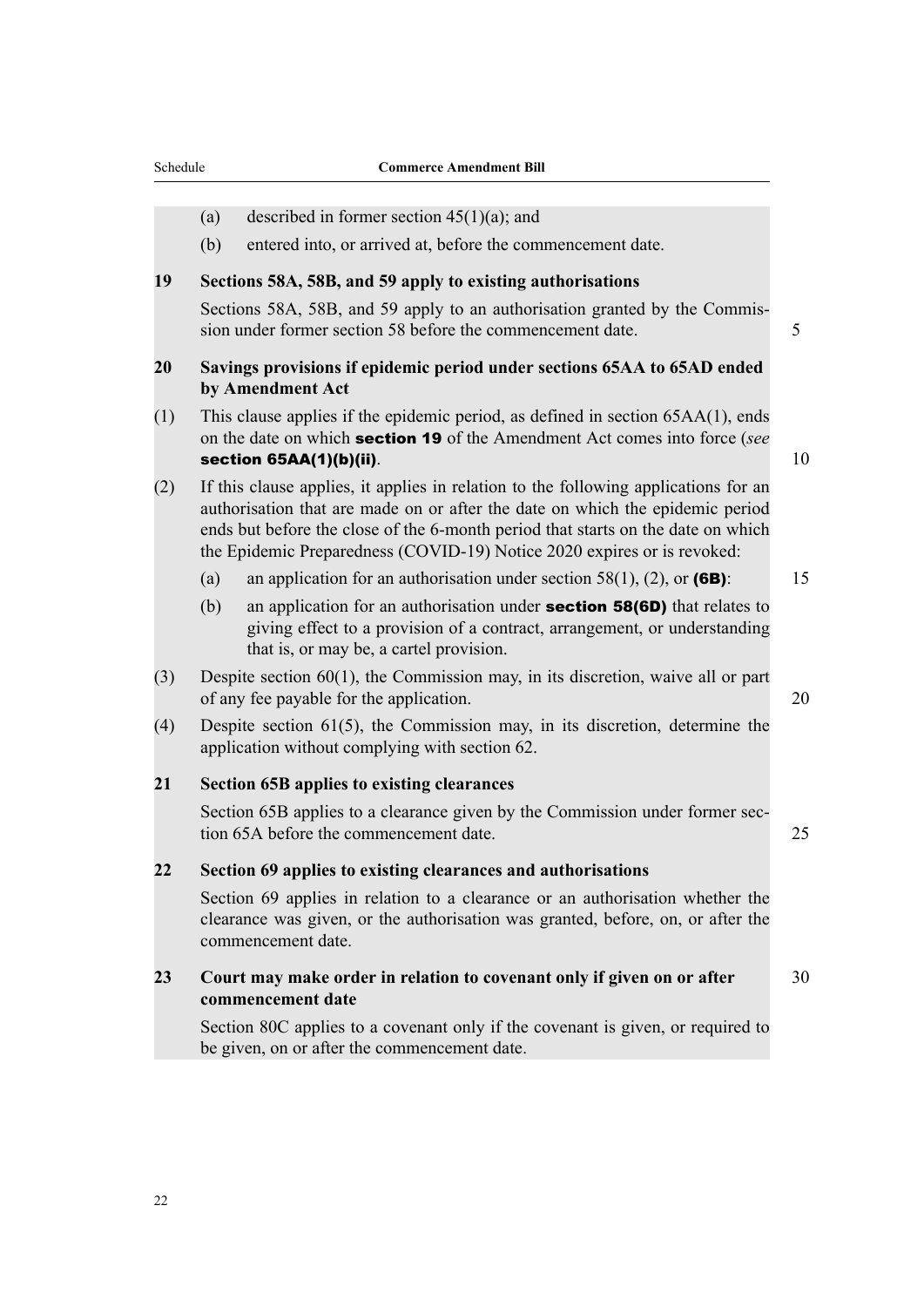- (a) described in former section  $45(1)(a)$ ; and
- (b) entered into, or arrived at, before the commencement date.

#### **19 Sections 58A, 58B, and 59 apply to existing authorisations**

Sections 58A, 58B, and 59 apply to an authorisation granted by the Commis‐ sion under former section 58 before the commencement date. 5

#### **20 Savings provisions if epidemic period under sections 65AA to 65AD ended by Amendment Act**

(1) This clause applies if the epidemic period, as defined in section 65AA(1), ends on the date on which section 19 of the Amendment Act comes into force (*see* section 65AA(1)(b)(ii).  $10$ 

(2) If this clause applies, it applies in relation to the following applications for an authorisation that are made on or after the date on which the epidemic period ends but before the close of the 6-month period that starts on the date on which the Epidemic Preparedness (COVID-19) Notice 2020 expires or is revoked:

- (a) an application for an authorisation under section 58(1), (2), or (6B):  $15$
- (b) an application for an authorisation under **section 58(6D)** that relates to giving effect to a provision of a contract, arrangement, or understanding that is, or may be, a cartel provision.
- (3) Despite section 60(1), the Commission may, in its discretion, waive all or part of any fee payable for the application. 20
- (4) Despite section 61(5), the Commission may, in its discretion, determine the application without complying with section 62.

#### **21 Section 65B applies to existing clearances**

Section 65B applies to a clearance given by the Commission under former section 65A before the commencement date. 25

#### **22 Section 69 applies to existing clearances and authorisations**

Section 69 applies in relation to a clearance or an authorisation whether the clearance was given, or the authorisation was granted, before, on, or after the commencement date.

#### **23 Court may make order in relation to covenant only if given on or after** 30 **commencement date**

Section 80C applies to a covenant only if the covenant is given, or required to be given, on or after the commencement date.